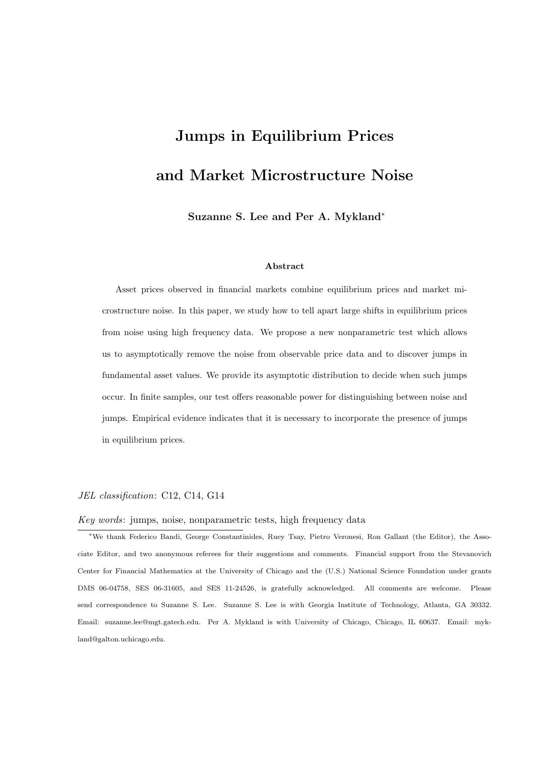# **Jumps in Equilibrium Prices and Market Microstructure Noise**

**Suzanne S. Lee and Per A. Mykland***<sup>∗</sup>*

#### **Abstract**

Asset prices observed in financial markets combine equilibrium prices and market microstructure noise. In this paper, we study how to tell apart large shifts in equilibrium prices from noise using high frequency data. We propose a new nonparametric test which allows us to asymptotically remove the noise from observable price data and to discover jumps in fundamental asset values. We provide its asymptotic distribution to decide when such jumps occur. In finite samples, our test offers reasonable power for distinguishing between noise and jumps. Empirical evidence indicates that it is necessary to incorporate the presence of jumps in equilibrium prices.

#### *JEL classification*: C12, C14, G14

#### *Key words*: jumps, noise, nonparametric tests, high frequency data

*∗*We thank Federico Bandi, George Constantinides, Ruey Tsay, Pietro Veronesi, Ron Gallant (the Editor), the Associate Editor, and two anonymous referees for their suggestions and comments. Financial support from the Stevanovich Center for Financial Mathematics at the University of Chicago and the (U.S.) National Science Foundation under grants DMS 06-04758, SES 06-31605, and SES 11-24526, is gratefully acknowledged. All comments are welcome. Please send correspondence to Suzanne S. Lee. Suzanne S. Lee is with Georgia Institute of Technology, Atlanta, GA 30332. Email: suzanne.lee@mgt.gatech.edu. Per A. Mykland is with University of Chicago, Chicago, IL 60637. Email: mykland@galton.uchicago.edu.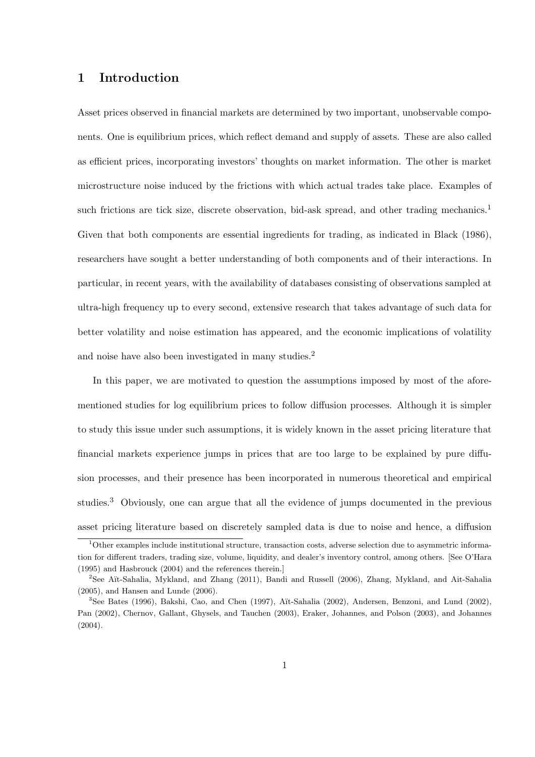# **1 Introduction**

Asset prices observed in financial markets are determined by two important, unobservable components. One is equilibrium prices, which reflect demand and supply of assets. These are also called as efficient prices, incorporating investors' thoughts on market information. The other is market microstructure noise induced by the frictions with which actual trades take place. Examples of such frictions are tick size, discrete observation, bid-ask spread, and other trading mechanics.<sup>1</sup> Given that both components are essential ingredients for trading, as indicated in Black (1986), researchers have sought a better understanding of both components and of their interactions. In particular, in recent years, with the availability of databases consisting of observations sampled at ultra-high frequency up to every second, extensive research that takes advantage of such data for better volatility and noise estimation has appeared, and the economic implications of volatility and noise have also been investigated in many studies.<sup>2</sup>

In this paper, we are motivated to question the assumptions imposed by most of the aforementioned studies for log equilibrium prices to follow diffusion processes. Although it is simpler to study this issue under such assumptions, it is widely known in the asset pricing literature that financial markets experience jumps in prices that are too large to be explained by pure diffusion processes, and their presence has been incorporated in numerous theoretical and empirical studies.<sup>3</sup> Obviously, one can argue that all the evidence of jumps documented in the previous asset pricing literature based on discretely sampled data is due to noise and hence, a diffusion

<sup>&</sup>lt;sup>1</sup>Other examples include institutional structure, transaction costs, adverse selection due to asymmetric information for different traders, trading size, volume, liquidity, and dealer's inventory control, among others. [See O'Hara (1995) and Hasbrouck (2004) and the references therein.]

<sup>&</sup>lt;sup>2</sup>See Aït-Sahalia, Mykland, and Zhang (2011), Bandi and Russell (2006), Zhang, Mykland, and Ait-Sahalia (2005), and Hansen and Lunde (2006).

<sup>3</sup>See Bates (1996), Bakshi, Cao, and Chen (1997), A¨ıt-Sahalia (2002), Andersen, Benzoni, and Lund (2002), Pan (2002), Chernov, Gallant, Ghysels, and Tauchen (2003), Eraker, Johannes, and Polson (2003), and Johannes (2004).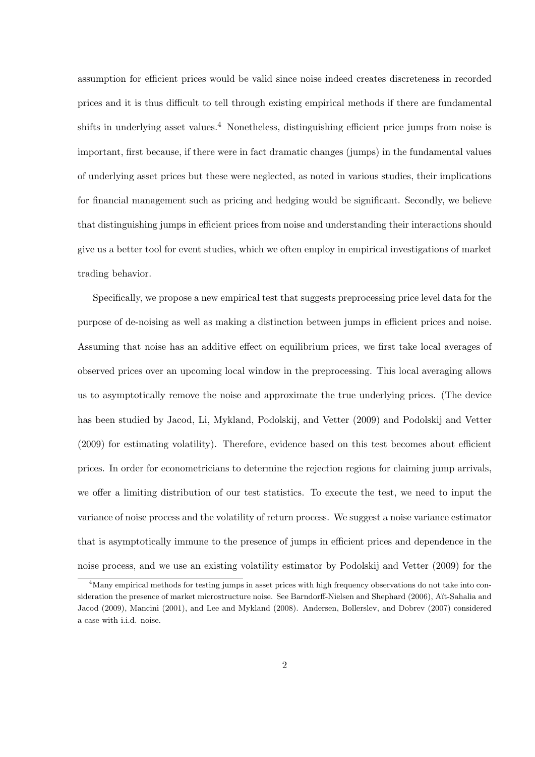assumption for efficient prices would be valid since noise indeed creates discreteness in recorded prices and it is thus difficult to tell through existing empirical methods if there are fundamental shifts in underlying asset values.<sup>4</sup> Nonetheless, distinguishing efficient price jumps from noise is important, first because, if there were in fact dramatic changes (jumps) in the fundamental values of underlying asset prices but these were neglected, as noted in various studies, their implications for financial management such as pricing and hedging would be significant. Secondly, we believe that distinguishing jumps in efficient prices from noise and understanding their interactions should give us a better tool for event studies, which we often employ in empirical investigations of market trading behavior.

Specifically, we propose a new empirical test that suggests preprocessing price level data for the purpose of de-noising as well as making a distinction between jumps in efficient prices and noise. Assuming that noise has an additive effect on equilibrium prices, we first take local averages of observed prices over an upcoming local window in the preprocessing. This local averaging allows us to asymptotically remove the noise and approximate the true underlying prices. (The device has been studied by Jacod, Li, Mykland, Podolskij, and Vetter (2009) and Podolskij and Vetter (2009) for estimating volatility). Therefore, evidence based on this test becomes about efficient prices. In order for econometricians to determine the rejection regions for claiming jump arrivals, we offer a limiting distribution of our test statistics. To execute the test, we need to input the variance of noise process and the volatility of return process. We suggest a noise variance estimator that is asymptotically immune to the presence of jumps in efficient prices and dependence in the noise process, and we use an existing volatility estimator by Podolskij and Vetter (2009) for the

<sup>&</sup>lt;sup>4</sup>Many empirical methods for testing jumps in asset prices with high frequency observations do not take into consideration the presence of market microstructure noise. See Barndorff-Nielsen and Shephard (2006), Aït-Sahalia and Jacod (2009), Mancini (2001), and Lee and Mykland (2008). Andersen, Bollerslev, and Dobrev (2007) considered a case with i.i.d. noise.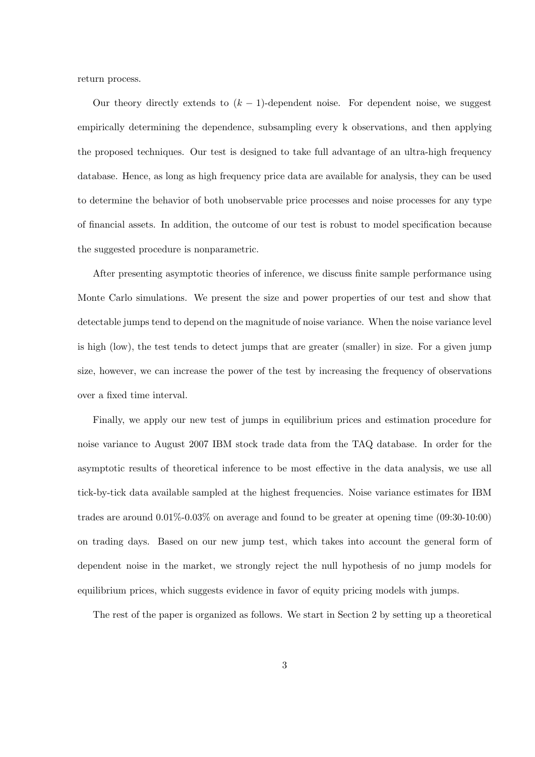return process.

Our theory directly extends to  $(k-1)$ -dependent noise. For dependent noise, we suggest empirically determining the dependence, subsampling every k observations, and then applying the proposed techniques. Our test is designed to take full advantage of an ultra-high frequency database. Hence, as long as high frequency price data are available for analysis, they can be used to determine the behavior of both unobservable price processes and noise processes for any type of financial assets. In addition, the outcome of our test is robust to model specification because the suggested procedure is nonparametric.

After presenting asymptotic theories of inference, we discuss finite sample performance using Monte Carlo simulations. We present the size and power properties of our test and show that detectable jumps tend to depend on the magnitude of noise variance. When the noise variance level is high (low), the test tends to detect jumps that are greater (smaller) in size. For a given jump size, however, we can increase the power of the test by increasing the frequency of observations over a fixed time interval.

Finally, we apply our new test of jumps in equilibrium prices and estimation procedure for noise variance to August 2007 IBM stock trade data from the TAQ database. In order for the asymptotic results of theoretical inference to be most effective in the data analysis, we use all tick-by-tick data available sampled at the highest frequencies. Noise variance estimates for IBM trades are around 0.01%-0.03% on average and found to be greater at opening time (09:30-10:00) on trading days. Based on our new jump test, which takes into account the general form of dependent noise in the market, we strongly reject the null hypothesis of no jump models for equilibrium prices, which suggests evidence in favor of equity pricing models with jumps.

The rest of the paper is organized as follows. We start in Section 2 by setting up a theoretical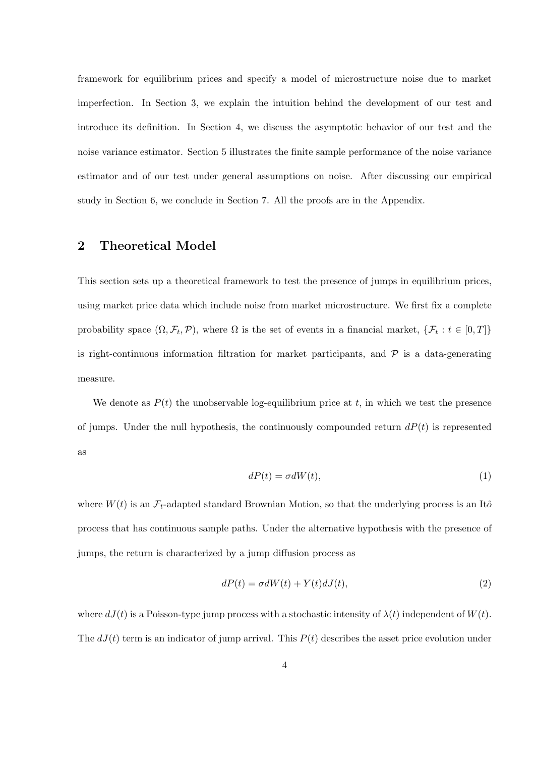framework for equilibrium prices and specify a model of microstructure noise due to market imperfection. In Section 3, we explain the intuition behind the development of our test and introduce its definition. In Section 4, we discuss the asymptotic behavior of our test and the noise variance estimator. Section 5 illustrates the finite sample performance of the noise variance estimator and of our test under general assumptions on noise. After discussing our empirical study in Section 6, we conclude in Section 7. All the proofs are in the Appendix.

# **2 Theoretical Model**

This section sets up a theoretical framework to test the presence of jumps in equilibrium prices, using market price data which include noise from market microstructure. We first fix a complete probability space  $(\Omega, \mathcal{F}_t, \mathcal{P})$ , where  $\Omega$  is the set of events in a financial market,  $\{\mathcal{F}_t : t \in [0, T]\}$ is right-continuous information filtration for market participants, and  $P$  is a data-generating measure.

We denote as  $P(t)$  the unobservable log-equilibrium price at  $t$ , in which we test the presence of jumps. Under the null hypothesis, the continuously compounded return  $dP(t)$  is represented as

$$
dP(t) = \sigma dW(t),\tag{1}
$$

where  $W(t)$  is an  $\mathcal{F}_t$ -adapted standard Brownian Motion, so that the underlying process is an Itô process that has continuous sample paths. Under the alternative hypothesis with the presence of jumps, the return is characterized by a jump diffusion process as

$$
dP(t) = \sigma dW(t) + Y(t) dJ(t),\tag{2}
$$

where  $dJ(t)$  is a Poisson-type jump process with a stochastic intensity of  $\lambda(t)$  independent of  $W(t)$ . The  $dJ(t)$  term is an indicator of jump arrival. This  $P(t)$  describes the asset price evolution under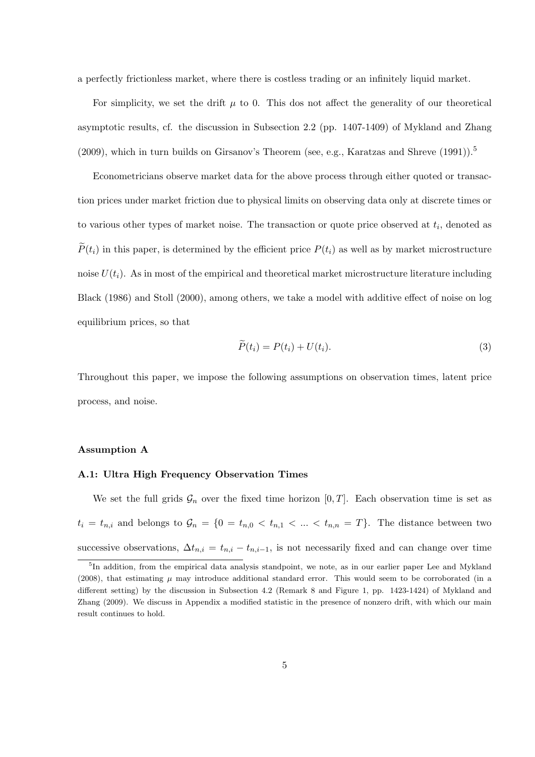a perfectly frictionless market, where there is costless trading or an infinitely liquid market.

For simplicity, we set the drift  $\mu$  to 0. This dos not affect the generality of our theoretical asymptotic results, cf. the discussion in Subsection 2.2 (pp. 1407-1409) of Mykland and Zhang (2009), which in turn builds on Girsanov's Theorem (see, e.g., Karatzas and Shreve  $(1991)$ ).<sup>5</sup>

Econometricians observe market data for the above process through either quoted or transaction prices under market friction due to physical limits on observing data only at discrete times or to various other types of market noise. The transaction or quote price observed at *t<sup>i</sup>* , denoted as  $\widetilde{P}(t_i)$  in this paper, is determined by the efficient price  $P(t_i)$  as well as by market microstructure noise  $U(t_i)$ . As in most of the empirical and theoretical market microstructure literature including Black (1986) and Stoll (2000), among others, we take a model with additive effect of noise on log equilibrium prices, so that

$$
\widetilde{P}(t_i) = P(t_i) + U(t_i). \tag{3}
$$

Throughout this paper, we impose the following assumptions on observation times, latent price process, and noise.

#### **Assumption A**

#### **A.1: Ultra High Frequency Observation Times**

We set the full grids  $\mathcal{G}_n$  over the fixed time horizon  $[0, T]$ . Each observation time is set as  $t_i = t_{n,i}$  and belongs to  $\mathcal{G}_n = \{0 = t_{n,0} < t_{n,1} < \ldots < t_{n,n} = T\}$ . The distance between two successive observations,  $\Delta t_{n,i} = t_{n,i} - t_{n,i-1}$ , is not necessarily fixed and can change over time

<sup>&</sup>lt;sup>5</sup>In addition, from the empirical data analysis standpoint, we note, as in our earlier paper Lee and Mykland (2008), that estimating  $\mu$  may introduce additional standard error. This would seem to be corroborated (in a different setting) by the discussion in Subsection 4.2 (Remark 8 and Figure 1, pp. 1423-1424) of Mykland and Zhang (2009). We discuss in Appendix a modified statistic in the presence of nonzero drift, with which our main result continues to hold.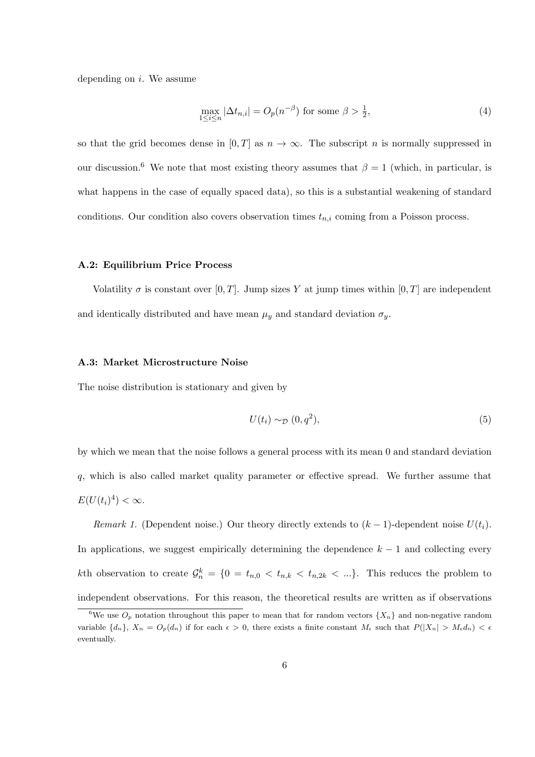depending on *i*. We assume

$$
\max_{1 \le i \le n} |\Delta t_{n,i}| = O_p(n^{-\beta}) \text{ for some } \beta > \frac{1}{2},\tag{4}
$$

so that the grid becomes dense in  $[0, T]$  as  $n \to \infty$ . The subscript *n* is normally suppressed in our discussion.<sup>6</sup> We note that most existing theory assumes that  $\beta = 1$  (which, in particular, is what happens in the case of equally spaced data), so this is a substantial weakening of standard conditions. Our condition also covers observation times  $t_{n,i}$  coming from a Poisson process.

#### **A.2: Equilibrium Price Process**

Volatility  $\sigma$  is constant over [0, T]. Jump sizes Y at jump times within [0, T] are independent and identically distributed and have mean  $\mu_y$  and standard deviation  $\sigma_y$ .

#### **A.3: Market Microstructure Noise**

The noise distribution is stationary and given by

$$
U(t_i) \sim_{\mathcal{D}} (0, q^2), \tag{5}
$$

by which we mean that the noise follows a general process with its mean 0 and standard deviation *q*, which is also called market quality parameter or effective spread. We further assume that  $E(U(t_i)^4) < \infty$ .

*Remark 1.* (Dependent noise.) Our theory directly extends to  $(k-1)$ -dependent noise  $U(t_i)$ . In applications, we suggest empirically determining the dependence  $k-1$  and collecting every *k*th observation to create  $\mathcal{G}_n^k = \{0 = t_{n,0} < t_{n,k} < t_{n,2k} < \ldots\}$ . This reduces the problem to independent observations. For this reason, the theoretical results are written as if observations

<sup>&</sup>lt;sup>6</sup>We use  $O_p$  notation throughout this paper to mean that for random vectors  $\{X_n\}$  and non-negative random variable  $\{d_n\}$ ,  $X_n = O_p(d_n)$  if for each  $\epsilon > 0$ , there exists a finite constant  $M_{\epsilon}$  such that  $P(|X_n| > M_{\epsilon}d_n) < \epsilon$ eventually.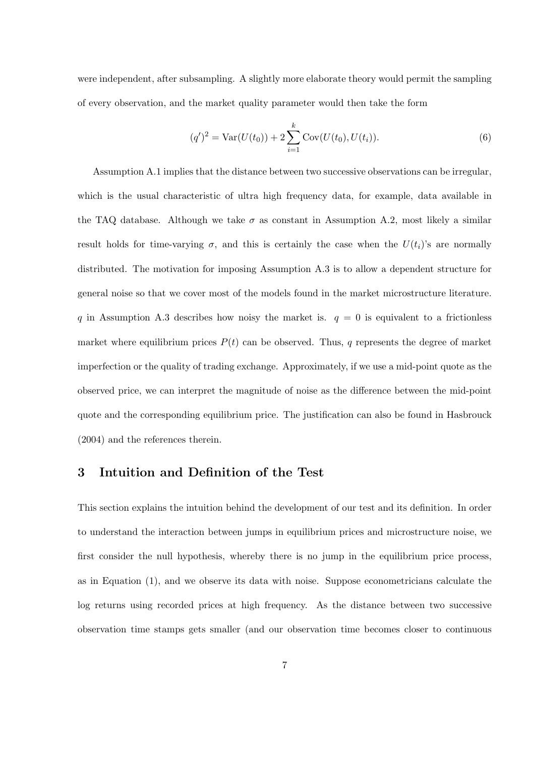were independent, after subsampling. A slightly more elaborate theory would permit the sampling of every observation, and the market quality parameter would then take the form

$$
(q')^{2} = \text{Var}(U(t_{0})) + 2\sum_{i=1}^{k} \text{Cov}(U(t_{0}), U(t_{i})).
$$
\n(6)

Assumption A.1 implies that the distance between two successive observations can be irregular, which is the usual characteristic of ultra high frequency data, for example, data available in the TAQ database. Although we take  $\sigma$  as constant in Assumption A.2, most likely a similar result holds for time-varying  $\sigma$ , and this is certainly the case when the  $U(t_i)$ 's are normally distributed. The motivation for imposing Assumption A.3 is to allow a dependent structure for general noise so that we cover most of the models found in the market microstructure literature. *q* in Assumption A.3 describes how noisy the market is.  $q = 0$  is equivalent to a frictionless market where equilibrium prices  $P(t)$  can be observed. Thus, q represents the degree of market imperfection or the quality of trading exchange. Approximately, if we use a mid-point quote as the observed price, we can interpret the magnitude of noise as the difference between the mid-point quote and the corresponding equilibrium price. The justification can also be found in Hasbrouck (2004) and the references therein.

### **3 Intuition and Definition of the Test**

This section explains the intuition behind the development of our test and its definition. In order to understand the interaction between jumps in equilibrium prices and microstructure noise, we first consider the null hypothesis, whereby there is no jump in the equilibrium price process, as in Equation (1), and we observe its data with noise. Suppose econometricians calculate the log returns using recorded prices at high frequency. As the distance between two successive observation time stamps gets smaller (and our observation time becomes closer to continuous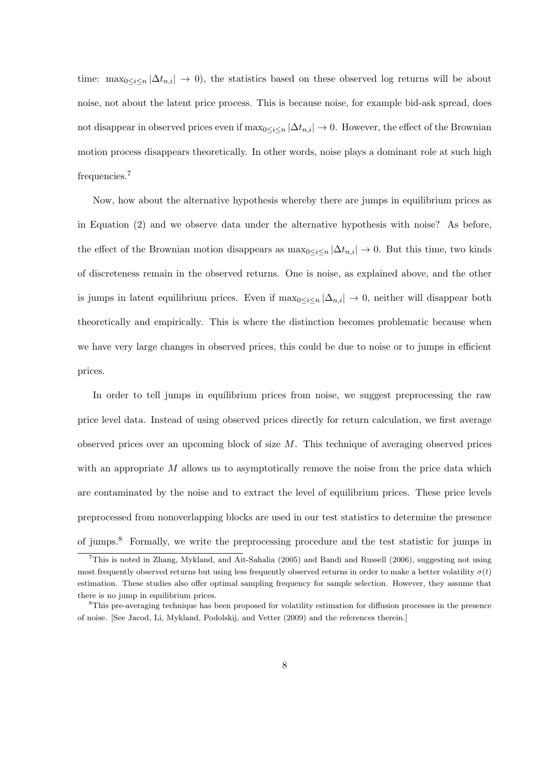time:  $\max_{0 \leq i \leq n} |\Delta t_{n,i}| \to 0$ , the statistics based on these observed log returns will be about noise, not about the latent price process. This is because noise, for example bid-ask spread, does not disappear in observed prices even if  $\max_{0 \leq i \leq n} |\Delta t_{n,i}| \to 0$ . However, the effect of the Brownian motion process disappears theoretically. In other words, noise plays a dominant role at such high frequencies.<sup>7</sup>

Now, how about the alternative hypothesis whereby there are jumps in equilibrium prices as in Equation (2) and we observe data under the alternative hypothesis with noise? As before, the effect of the Brownian motion disappears as  $\max_{0 \leq i \leq n} |\Delta t_{n,i}| \to 0$ . But this time, two kinds of discreteness remain in the observed returns. One is noise, as explained above, and the other is jumps in latent equilibrium prices. Even if  $\max_{0 \leq i \leq n} |\Delta_{n,i}| \to 0$ , neither will disappear both theoretically and empirically. This is where the distinction becomes problematic because when we have very large changes in observed prices, this could be due to noise or to jumps in efficient prices.

In order to tell jumps in equilibrium prices from noise, we suggest preprocessing the raw price level data. Instead of using observed prices directly for return calculation, we first average observed prices over an upcoming block of size *M*. This technique of averaging observed prices with an appropriate M allows us to asymptotically remove the noise from the price data which are contaminated by the noise and to extract the level of equilibrium prices. These price levels preprocessed from nonoverlapping blocks are used in our test statistics to determine the presence of jumps.<sup>8</sup> Formally, we write the preprocessing procedure and the test statistic for jumps in

<sup>7</sup>This is noted in Zhang, Mykland, and Ait-Sahalia (2005) and Bandi and Russell (2006), suggesting not using most frequently observed returns but using less frequently observed returns in order to make a better volatility  $\sigma(t)$ estimation. These studies also offer optimal sampling frequency for sample selection. However, they assume that there is no jump in equilibrium prices.

<sup>8</sup>This pre-averaging technique has been proposed for volatility estimation for diffusion processes in the presence of noise. [See Jacod, Li, Mykland, Podolskij, and Vetter (2009) and the references therein.]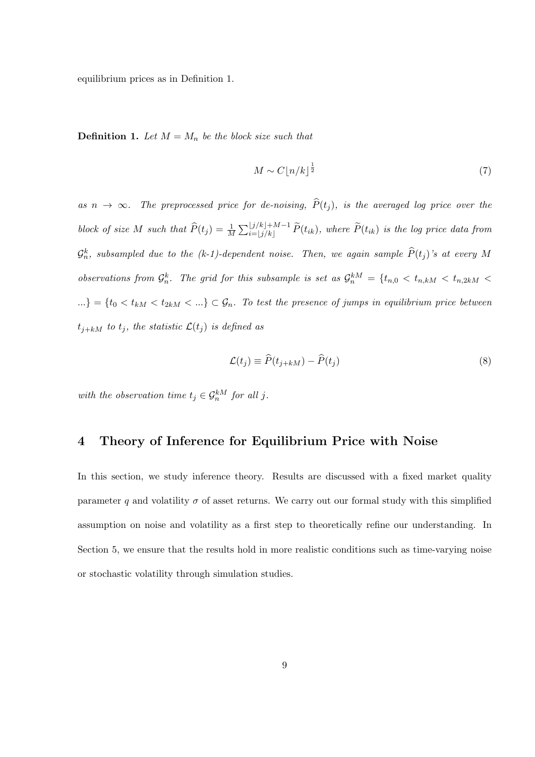equilibrium prices as in Definition 1.

**Definition 1.** Let  $M = M_n$  be the block size such that

$$
M \sim C\lfloor n/k \rfloor^{\frac{1}{2}} \tag{7}
$$

*as*  $n \to \infty$ *. The preprocessed price for de-noising,*  $\hat{P}(t_i)$ *, is the averaged log price over the* block of size M such that  $\widehat{P}(t_j) = \frac{1}{M} \sum_{i=\lfloor j/k \rfloor}^{\lfloor j/k \rfloor + M - 1} \widetilde{P}(t_{ik}),$  where  $\widetilde{P}(t_{ik})$  is the log price data from  $\mathcal{G}_n^k$ , subsampled due to the  $(k-1)$ -dependent noise. Then, we again sample  $\widehat{P}(t_j)$ 's at every  $M$ *observations from*  $\mathcal{G}_n^k$ . The grid for this subsample is set as  $\mathcal{G}_n^{kM} = \{t_{n,0} < t_{n,kM} < t_{n,2kM} <$  $\ldots$ } = { $t_0 < t_{kM} < t_{2kM} < \ldots$ }  $\subset \mathcal{G}_n$ . To test the presence of jumps in equilibrium price between  $t_{j+kM}$  *to*  $t_j$ *, the statistic*  $\mathcal{L}(t_j)$  *is defined as* 

$$
\mathcal{L}(t_j) \equiv \widehat{P}(t_{j+kM}) - \widehat{P}(t_j)
$$
\n(8)

*with the observation time*  $t_j \in \mathcal{G}_n^{kM}$  *for all j*.

# **4 Theory of Inference for Equilibrium Price with Noise**

In this section, we study inference theory. Results are discussed with a fixed market quality parameter *q* and volatility  $\sigma$  of asset returns. We carry out our formal study with this simplified assumption on noise and volatility as a first step to theoretically refine our understanding. In Section 5, we ensure that the results hold in more realistic conditions such as time-varying noise or stochastic volatility through simulation studies.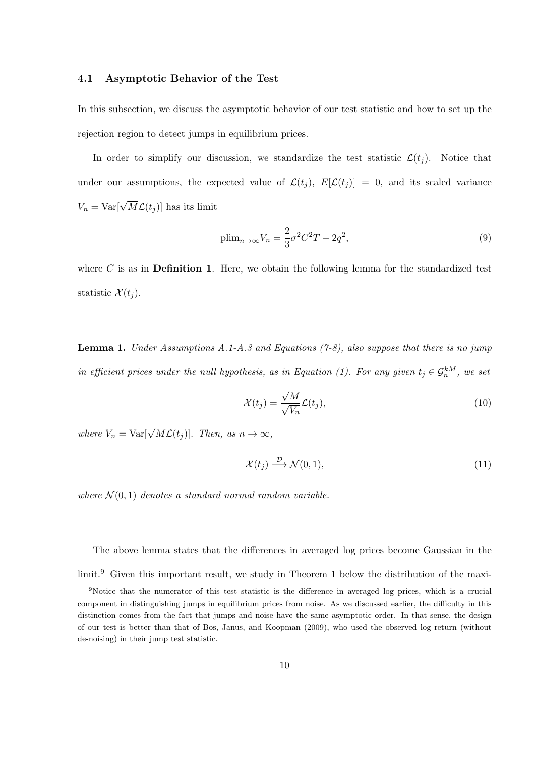#### **4.1 Asymptotic Behavior of the Test**

In this subsection, we discuss the asymptotic behavior of our test statistic and how to set up the rejection region to detect jumps in equilibrium prices.

In order to simplify our discussion, we standardize the test statistic  $\mathcal{L}(t_i)$ . Notice that under our assumptions, the expected value of  $\mathcal{L}(t_j)$ ,  $E[\mathcal{L}(t_j)] = 0$ , and its scaled variance  $V_n = \text{Var}[\sqrt{M} \mathcal{L}(t_j)]$  has its limit

$$
\text{plim}_{n \to \infty} V_n = \frac{2}{3} \sigma^2 C^2 T + 2q^2,
$$
\n(9)

where *C* is as in **Definition 1**. Here, we obtain the following lemma for the standardized test statistic  $\mathcal{X}(t_i)$ .

**Lemma 1.** *Under Assumptions A.1-A.3 and Equations (7-8), also suppose that there is no jump in efficient prices under the null hypothesis, as in Equation (1). For any given*  $t_j \in \mathcal{G}_n^{kM}$ *, we set* 

$$
\mathcal{X}(t_j) = \frac{\sqrt{M}}{\sqrt{V_n}} \mathcal{L}(t_j),\tag{10}
$$

*where*  $V_n = \text{Var}[\sqrt{M} \mathcal{L}(t_j)]$ *. Then, as*  $n \to \infty$ *,* 

$$
\mathcal{X}(t_j) \xrightarrow{\mathcal{D}} \mathcal{N}(0,1),\tag{11}
$$

*where*  $\mathcal{N}(0,1)$  *denotes a standard normal random variable.* 

The above lemma states that the differences in averaged log prices become Gaussian in the limit.<sup>9</sup> Given this important result, we study in Theorem 1 below the distribution of the maxi-

<sup>&</sup>lt;sup>9</sup>Notice that the numerator of this test statistic is the difference in averaged log prices, which is a crucial component in distinguishing jumps in equilibrium prices from noise. As we discussed earlier, the difficulty in this distinction comes from the fact that jumps and noise have the same asymptotic order. In that sense, the design of our test is better than that of Bos, Janus, and Koopman (2009), who used the observed log return (without de-noising) in their jump test statistic.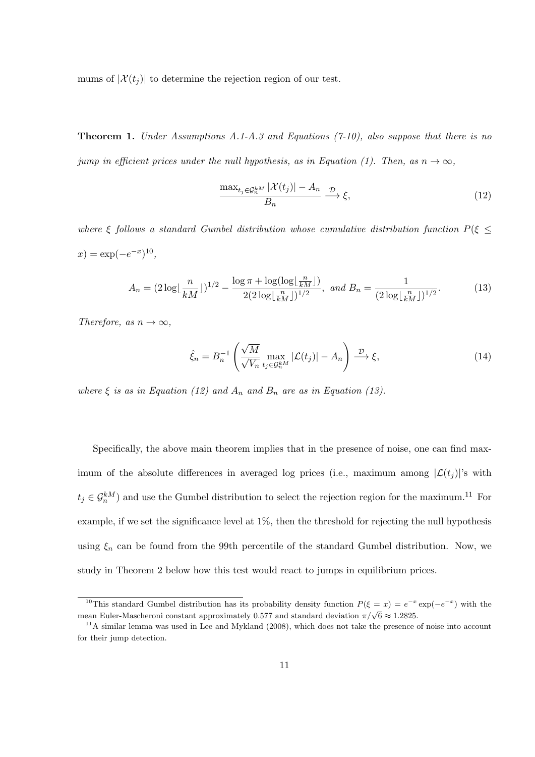mums of  $|\mathcal{X}(t_i)|$  to determine the rejection region of our test.

**Theorem 1.** *Under Assumptions A.1-A.3 and Equations (7-10), also suppose that there is no jump in efficient prices under the null hypothesis, as in Equation (1). Then, as*  $n \rightarrow \infty$ ,

$$
\frac{\max_{t_j \in \mathcal{G}_n^{kM}} |\mathcal{X}(t_j)| - A_n}{B_n} \xrightarrow{\mathcal{D}} \xi,
$$
\n(12)

*where ξ follows a standard Gumbel distribution whose cumulative distribution function P*(*ξ ≤*  $x) = \exp(-e^{-x})^{10},$ 

$$
A_n = (2\log\lfloor \frac{n}{kM} \rfloor)^{1/2} - \frac{\log \pi + \log(\log\lfloor \frac{n}{kM} \rfloor)}{2(2\log\lfloor \frac{n}{kM} \rfloor)^{1/2}}, \text{ and } B_n = \frac{1}{(2\log\lfloor \frac{n}{kM} \rfloor)^{1/2}}.
$$
 (13)

*Therefore, as*  $n \to \infty$ *,* 

$$
\hat{\xi}_n = B_n^{-1} \left( \frac{\sqrt{M}}{\sqrt{V_n}} \max_{t_j \in \mathcal{G}_n^{kM}} |\mathcal{L}(t_j)| - A_n \right) \xrightarrow{\mathcal{D}} \xi,
$$
\n(14)

*where*  $\xi$  *is as in Equation (12) and*  $A_n$  *and*  $B_n$  *are as in Equation (13).* 

Specifically, the above main theorem implies that in the presence of noise, one can find maximum of the absolute differences in averaged log prices (i.e., maximum among  $|\mathcal{L}(t_i)|$ 's with  $t_j \in \mathcal{G}_n^{kM}$  and use the Gumbel distribution to select the rejection region for the maximum.<sup>11</sup> For example, if we set the significance level at 1%, then the threshold for rejecting the null hypothesis using  $\xi_n$  can be found from the 99th percentile of the standard Gumbel distribution. Now, we study in Theorem 2 below how this test would react to jumps in equilibrium prices.

<sup>&</sup>lt;sup>10</sup>This standard Gumbel distribution has its probability density function  $P(\xi = x) = e^{-x} \exp(-e^{-x})$  with the mean Euler-Mascheroni constant approximately 0.577 and standard deviation  $\pi/\sqrt{6} \approx 1.2825$ .

 $11$ A similar lemma was used in Lee and Mykland (2008), which does not take the presence of noise into account for their jump detection.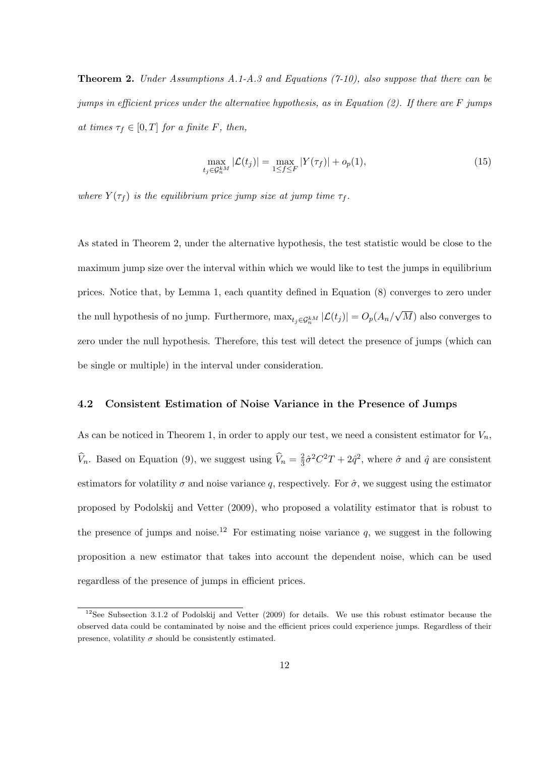**Theorem 2.** *Under Assumptions A.1-A.3 and Equations (7-10), also suppose that there can be jumps in efficient prices under the alternative hypothesis, as in Equation (2). If there are F jumps at times*  $\tau_f \in [0, T]$  *for a finite F, then,* 

$$
\max_{t_j \in \mathcal{G}_n^{kM}} |\mathcal{L}(t_j)| = \max_{1 \le f \le F} |Y(\tau_f)| + o_p(1),\tag{15}
$$

*where*  $Y(\tau_f)$  *is the equilibrium price jump size at jump time*  $\tau_f$ *.* 

As stated in Theorem 2, under the alternative hypothesis, the test statistic would be close to the maximum jump size over the interval within which we would like to test the jumps in equilibrium prices. Notice that, by Lemma 1, each quantity defined in Equation (8) converges to zero under the null hypothesis of no jump. Furthermore,  $\max_{t_j \in \mathcal{G}_n^{kM}} |\mathcal{L}(t_j)| = O_p(A_n)$ *√ M*) also converges to zero under the null hypothesis. Therefore, this test will detect the presence of jumps (which can be single or multiple) in the interval under consideration.

#### **4.2 Consistent Estimation of Noise Variance in the Presence of Jumps**

As can be noticed in Theorem 1, in order to apply our test, we need a consistent estimator for  $V_n$ ,  $\hat{V}_n$ . Based on Equation (9), we suggest using  $\hat{V}_n = \frac{2}{3}$  $\frac{2}{3}\hat{\sigma}^2 C^2 T + 2\hat{q}^2$ , where  $\hat{\sigma}$  and  $\hat{q}$  are consistent estimators for volatility  $\sigma$  and noise variance q, respectively. For  $\hat{\sigma}$ , we suggest using the estimator proposed by Podolskij and Vetter (2009), who proposed a volatility estimator that is robust to the presence of jumps and noise.<sup>12</sup> For estimating noise variance  $q$ , we suggest in the following proposition a new estimator that takes into account the dependent noise, which can be used regardless of the presence of jumps in efficient prices.

 $12$ See Subsection 3.1.2 of Podolskij and Vetter (2009) for details. We use this robust estimator because the observed data could be contaminated by noise and the efficient prices could experience jumps. Regardless of their presence, volatility  $\sigma$  should be consistently estimated.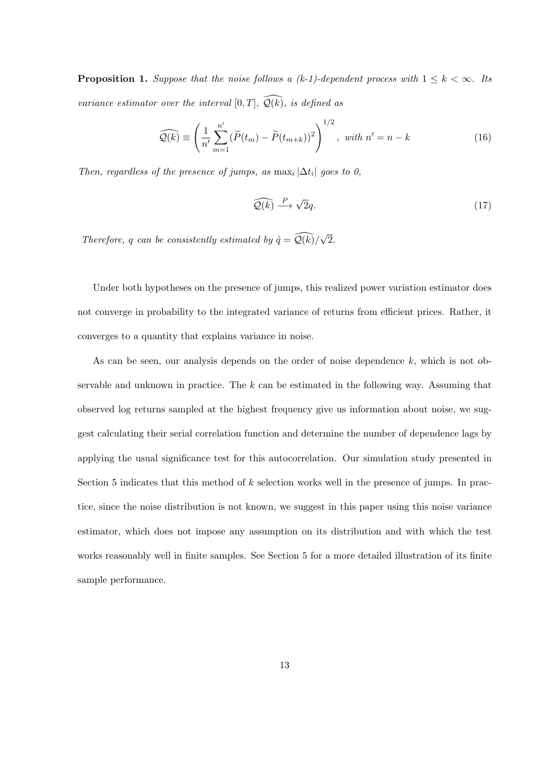**Proposition 1.** *Suppose that the noise follows a (k-1)-dependent process with*  $1 \leq k < \infty$ *. Its variance estimator over the interval*  $[0, T]$ *,*  $\widetilde{\mathcal{Q}(k)}$ *, is defined as* 

$$
\widehat{\mathcal{Q}(k)} \equiv \left(\frac{1}{n'}\sum_{m=1}^{n'}(\widetilde{P}(t_m) - \widetilde{P}(t_{m+k}))^2\right)^{1/2}, \text{ with } n' = n - k
$$
\n(16)

*Then, regardless of the presence of jumps, as*  $\max_i |\Delta t_i|$  goes to 0,

$$
\widehat{\mathcal{Q}(k)} \stackrel{P}{\longrightarrow} \sqrt{2}q. \tag{17}
$$

*Therefore, q can be consistently estimated by*  $\hat{q} = \widehat{Q(k)}/\sqrt{\frac{p}{k}}$ 2*.*

Under both hypotheses on the presence of jumps, this realized power variation estimator does not converge in probability to the integrated variance of returns from efficient prices. Rather, it converges to a quantity that explains variance in noise.

As can be seen, our analysis depends on the order of noise dependence *k*, which is not observable and unknown in practice. The *k* can be estimated in the following way. Assuming that observed log returns sampled at the highest frequency give us information about noise, we suggest calculating their serial correlation function and determine the number of dependence lags by applying the usual significance test for this autocorrelation. Our simulation study presented in Section 5 indicates that this method of *k* selection works well in the presence of jumps. In practice, since the noise distribution is not known, we suggest in this paper using this noise variance estimator, which does not impose any assumption on its distribution and with which the test works reasonably well in finite samples. See Section 5 for a more detailed illustration of its finite sample performance.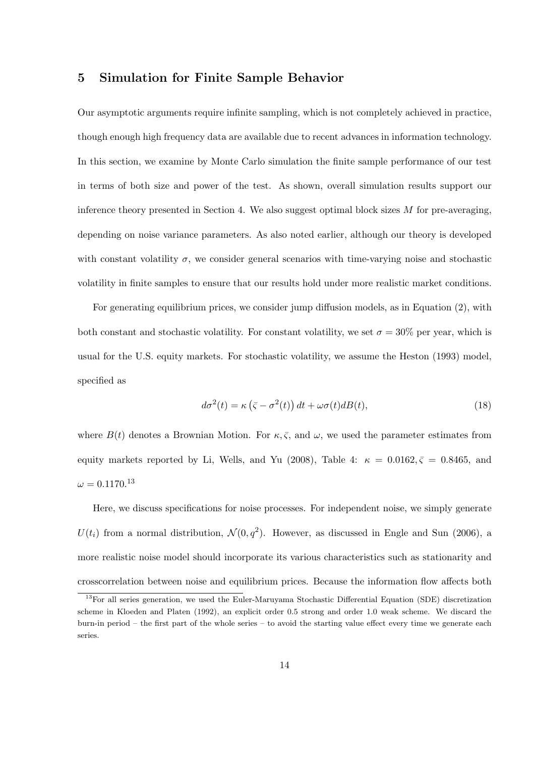# **5 Simulation for Finite Sample Behavior**

Our asymptotic arguments require infinite sampling, which is not completely achieved in practice, though enough high frequency data are available due to recent advances in information technology. In this section, we examine by Monte Carlo simulation the finite sample performance of our test in terms of both size and power of the test. As shown, overall simulation results support our inference theory presented in Section 4. We also suggest optimal block sizes *M* for pre-averaging, depending on noise variance parameters. As also noted earlier, although our theory is developed with constant volatility  $\sigma$ , we consider general scenarios with time-varying noise and stochastic volatility in finite samples to ensure that our results hold under more realistic market conditions.

For generating equilibrium prices, we consider jump diffusion models, as in Equation (2), with both constant and stochastic volatility. For constant volatility, we set  $\sigma = 30\%$  per year, which is usual for the U.S. equity markets. For stochastic volatility, we assume the Heston (1993) model, specified as

$$
d\sigma^{2}(t) = \kappa \left(\bar{\varsigma} - \sigma^{2}(t)\right)dt + \omega\sigma(t)dB(t),
$$
\n(18)

where  $B(t)$  denotes a Brownian Motion. For  $\kappa, \bar{\varsigma}$ , and  $\omega$ , we used the parameter estimates from equity markets reported by Li, Wells, and Yu (2008), Table 4:  $\kappa = 0.0162$ ,  $\bar{\varsigma} = 0.8465$ , and  $\omega = 0.1170^{13}$ 

Here, we discuss specifications for noise processes. For independent noise, we simply generate  $U(t_i)$  from a normal distribution,  $\mathcal{N}(0, q^2)$ . However, as discussed in Engle and Sun (2006), a more realistic noise model should incorporate its various characteristics such as stationarity and crosscorrelation between noise and equilibrium prices. Because the information flow affects both

<sup>13</sup>For all series generation, we used the Euler-Maruyama Stochastic Differential Equation (SDE) discretization scheme in Kloeden and Platen (1992), an explicit order 0.5 strong and order 1.0 weak scheme. We discard the burn-in period – the first part of the whole series – to avoid the starting value effect every time we generate each series.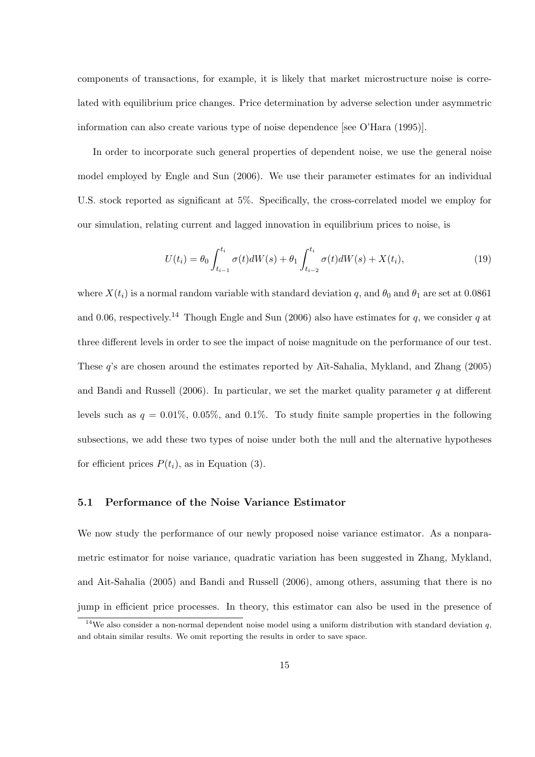components of transactions, for example, it is likely that market microstructure noise is correlated with equilibrium price changes. Price determination by adverse selection under asymmetric information can also create various type of noise dependence [see O'Hara (1995)].

In order to incorporate such general properties of dependent noise, we use the general noise model employed by Engle and Sun (2006). We use their parameter estimates for an individual U.S. stock reported as significant at 5%. Specifically, the cross-correlated model we employ for our simulation, relating current and lagged innovation in equilibrium prices to noise, is

$$
U(t_i) = \theta_0 \int_{t_{i-1}}^{t_i} \sigma(t) dW(s) + \theta_1 \int_{t_{i-2}}^{t_i} \sigma(t) dW(s) + X(t_i), \qquad (19)
$$

where  $X(t_i)$  is a normal random variable with standard deviation q, and  $\theta_0$  and  $\theta_1$  are set at 0.0861 and 0.06, respectively.<sup>14</sup> Though Engle and Sun (2006) also have estimates for  $q$ , we consider  $q$  at three different levels in order to see the impact of noise magnitude on the performance of our test. These *q*'s are chosen around the estimates reported by Aït-Sahalia, Mykland, and Zhang (2005) and Bandi and Russell (2006). In particular, we set the market quality parameter *q* at different levels such as  $q = 0.01\%$ , 0.05%, and 0.1%. To study finite sample properties in the following subsections, we add these two types of noise under both the null and the alternative hypotheses for efficient prices  $P(t_i)$ , as in Equation (3).

#### **5.1 Performance of the Noise Variance Estimator**

We now study the performance of our newly proposed noise variance estimator. As a nonparametric estimator for noise variance, quadratic variation has been suggested in Zhang, Mykland, and Ait-Sahalia (2005) and Bandi and Russell (2006), among others, assuming that there is no jump in efficient price processes. In theory, this estimator can also be used in the presence of

<sup>&</sup>lt;sup>14</sup>We also consider a non-normal dependent noise model using a uniform distribution with standard deviation  $q$ , and obtain similar results. We omit reporting the results in order to save space.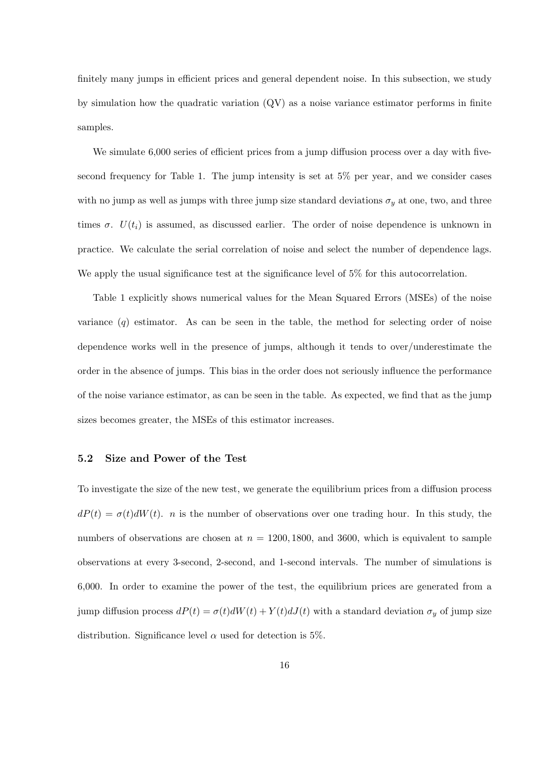finitely many jumps in efficient prices and general dependent noise. In this subsection, we study by simulation how the quadratic variation  $(QV)$  as a noise variance estimator performs in finite samples.

We simulate 6,000 series of efficient prices from a jump diffusion process over a day with fivesecond frequency for Table 1. The jump intensity is set at 5% per year, and we consider cases with no jump as well as jumps with three jump size standard deviations  $\sigma_y$  at one, two, and three times  $\sigma$ .  $U(t_i)$  is assumed, as discussed earlier. The order of noise dependence is unknown in practice. We calculate the serial correlation of noise and select the number of dependence lags. We apply the usual significance test at the significance level of 5% for this autocorrelation.

Table 1 explicitly shows numerical values for the Mean Squared Errors (MSEs) of the noise variance (*q*) estimator. As can be seen in the table, the method for selecting order of noise dependence works well in the presence of jumps, although it tends to over/underestimate the order in the absence of jumps. This bias in the order does not seriously influence the performance of the noise variance estimator, as can be seen in the table. As expected, we find that as the jump sizes becomes greater, the MSEs of this estimator increases.

#### **5.2 Size and Power of the Test**

To investigate the size of the new test, we generate the equilibrium prices from a diffusion process  $dP(t) = \sigma(t) dW(t)$ . *n* is the number of observations over one trading hour. In this study, the numbers of observations are chosen at  $n = 1200, 1800$ , and 3600, which is equivalent to sample observations at every 3-second, 2-second, and 1-second intervals. The number of simulations is 6,000. In order to examine the power of the test, the equilibrium prices are generated from a jump diffusion process  $dP(t) = \sigma(t) dW(t) + Y(t) dJ(t)$  with a standard deviation  $\sigma_y$  of jump size distribution. Significance level  $\alpha$  used for detection is 5%.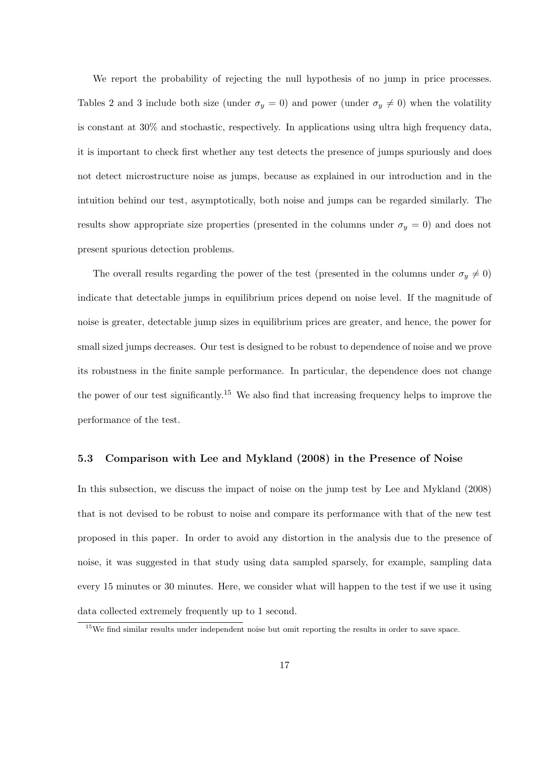We report the probability of rejecting the null hypothesis of no jump in price processes. Tables 2 and 3 include both size (under  $\sigma_y = 0$ ) and power (under  $\sigma_y \neq 0$ ) when the volatility is constant at 30% and stochastic, respectively. In applications using ultra high frequency data, it is important to check first whether any test detects the presence of jumps spuriously and does not detect microstructure noise as jumps, because as explained in our introduction and in the intuition behind our test, asymptotically, both noise and jumps can be regarded similarly. The results show appropriate size properties (presented in the columns under  $\sigma_y = 0$ ) and does not present spurious detection problems.

The overall results regarding the power of the test (presented in the columns under  $\sigma_y \neq 0$ ) indicate that detectable jumps in equilibrium prices depend on noise level. If the magnitude of noise is greater, detectable jump sizes in equilibrium prices are greater, and hence, the power for small sized jumps decreases. Our test is designed to be robust to dependence of noise and we prove its robustness in the finite sample performance. In particular, the dependence does not change the power of our test significantly.<sup>15</sup> We also find that increasing frequency helps to improve the performance of the test.

#### **5.3 Comparison with Lee and Mykland (2008) in the Presence of Noise**

In this subsection, we discuss the impact of noise on the jump test by Lee and Mykland (2008) that is not devised to be robust to noise and compare its performance with that of the new test proposed in this paper. In order to avoid any distortion in the analysis due to the presence of noise, it was suggested in that study using data sampled sparsely, for example, sampling data every 15 minutes or 30 minutes. Here, we consider what will happen to the test if we use it using data collected extremely frequently up to 1 second.

<sup>15</sup>We find similar results under independent noise but omit reporting the results in order to save space.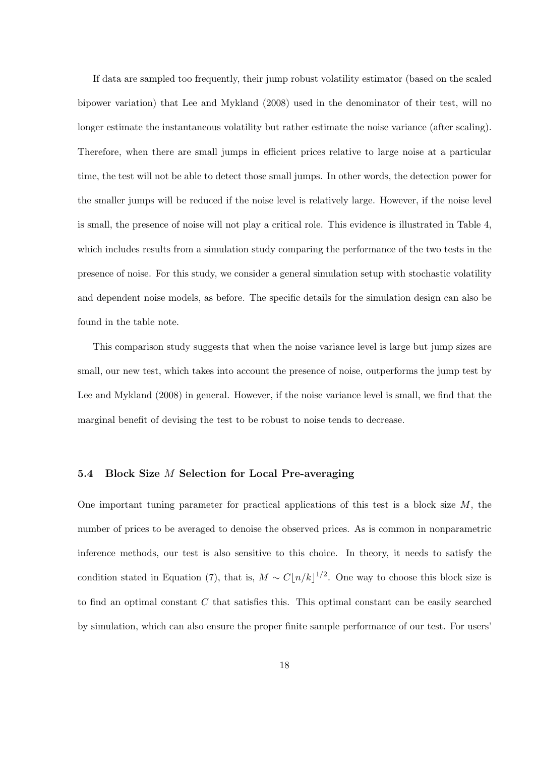If data are sampled too frequently, their jump robust volatility estimator (based on the scaled bipower variation) that Lee and Mykland (2008) used in the denominator of their test, will no longer estimate the instantaneous volatility but rather estimate the noise variance (after scaling). Therefore, when there are small jumps in efficient prices relative to large noise at a particular time, the test will not be able to detect those small jumps. In other words, the detection power for the smaller jumps will be reduced if the noise level is relatively large. However, if the noise level is small, the presence of noise will not play a critical role. This evidence is illustrated in Table 4, which includes results from a simulation study comparing the performance of the two tests in the presence of noise. For this study, we consider a general simulation setup with stochastic volatility and dependent noise models, as before. The specific details for the simulation design can also be found in the table note.

This comparison study suggests that when the noise variance level is large but jump sizes are small, our new test, which takes into account the presence of noise, outperforms the jump test by Lee and Mykland (2008) in general. However, if the noise variance level is small, we find that the marginal benefit of devising the test to be robust to noise tends to decrease.

#### **5.4 Block Size** *M* **Selection for Local Pre-averaging**

One important tuning parameter for practical applications of this test is a block size *M*, the number of prices to be averaged to denoise the observed prices. As is common in nonparametric inference methods, our test is also sensitive to this choice. In theory, it needs to satisfy the condition stated in Equation (7), that is,  $M \sim C\lfloor n/k \rfloor^{1/2}$ . One way to choose this block size is to find an optimal constant *C* that satisfies this. This optimal constant can be easily searched by simulation, which can also ensure the proper finite sample performance of our test. For users'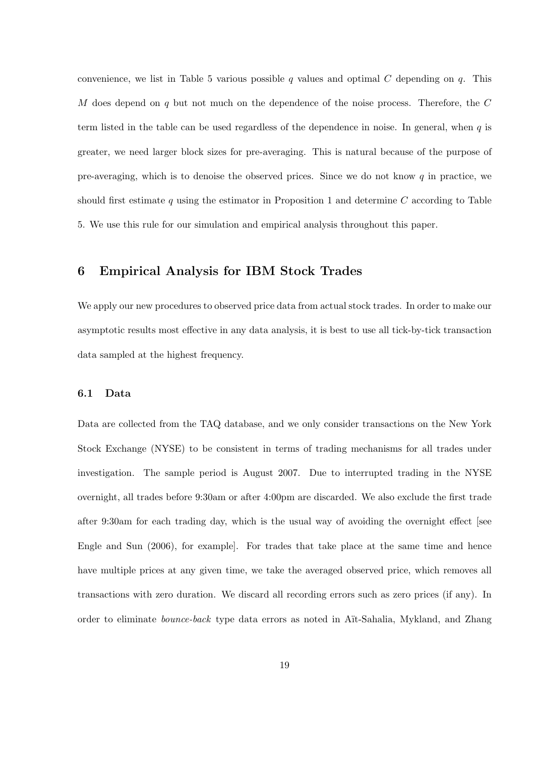convenience, we list in Table 5 various possible *q* values and optimal *C* depending on *q*. This *M* does depend on *q* but not much on the dependence of the noise process. Therefore, the *C* term listed in the table can be used regardless of the dependence in noise. In general, when *q* is greater, we need larger block sizes for pre-averaging. This is natural because of the purpose of pre-averaging, which is to denoise the observed prices. Since we do not know *q* in practice, we should first estimate *q* using the estimator in Proposition 1 and determine *C* according to Table 5. We use this rule for our simulation and empirical analysis throughout this paper.

# **6 Empirical Analysis for IBM Stock Trades**

We apply our new procedures to observed price data from actual stock trades. In order to make our asymptotic results most effective in any data analysis, it is best to use all tick-by-tick transaction data sampled at the highest frequency.

#### **6.1 Data**

Data are collected from the TAQ database, and we only consider transactions on the New York Stock Exchange (NYSE) to be consistent in terms of trading mechanisms for all trades under investigation. The sample period is August 2007. Due to interrupted trading in the NYSE overnight, all trades before 9:30am or after 4:00pm are discarded. We also exclude the first trade after 9:30am for each trading day, which is the usual way of avoiding the overnight effect [see Engle and Sun (2006), for example]. For trades that take place at the same time and hence have multiple prices at any given time, we take the averaged observed price, which removes all transactions with zero duration. We discard all recording errors such as zero prices (if any). In order to eliminate *bounce-back* type data errors as noted in A¨ıt-Sahalia, Mykland, and Zhang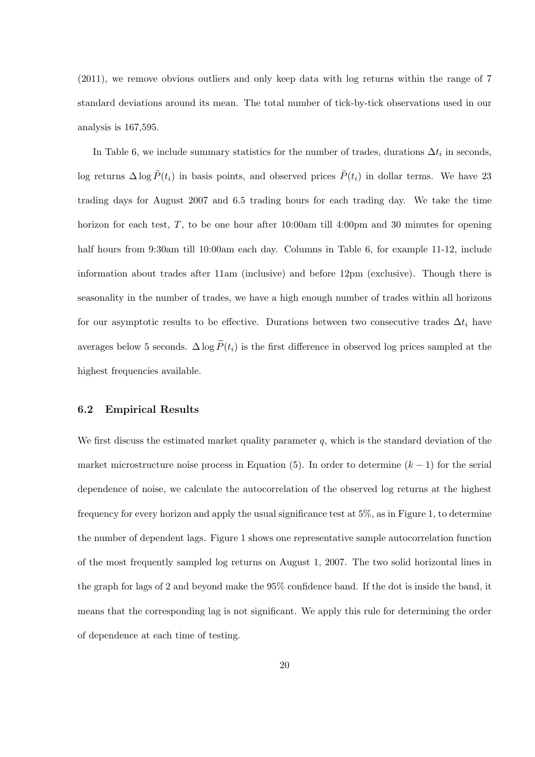(2011), we remove obvious outliers and only keep data with log returns within the range of 7 standard deviations around its mean. The total number of tick-by-tick observations used in our analysis is 167,595.

In Table 6, we include summary statistics for the number of trades, durations  $\Delta t_i$  in seconds, log returns  $\Delta \log \tilde{P}(t_i)$  in basis points, and observed prices  $\tilde{P}(t_i)$  in dollar terms. We have 23 trading days for August 2007 and 6.5 trading hours for each trading day. We take the time horizon for each test, *T*, to be one hour after 10:00am till 4:00pm and 30 minutes for opening half hours from 9:30am till 10:00am each day. Columns in Table 6, for example 11-12, include information about trades after 11am (inclusive) and before 12pm (exclusive). Though there is seasonality in the number of trades, we have a high enough number of trades within all horizons for our asymptotic results to be effective. Durations between two consecutive trades  $\Delta t_i$  have averages below 5 seconds.  $\Delta \log \tilde{P}(t_i)$  is the first difference in observed log prices sampled at the highest frequencies available.

#### **6.2 Empirical Results**

We first discuss the estimated market quality parameter *q*, which is the standard deviation of the market microstructure noise process in Equation (5). In order to determine  $(k-1)$  for the serial dependence of noise, we calculate the autocorrelation of the observed log returns at the highest frequency for every horizon and apply the usual significance test at 5%, as in Figure 1, to determine the number of dependent lags. Figure 1 shows one representative sample autocorrelation function of the most frequently sampled log returns on August 1, 2007. The two solid horizontal lines in the graph for lags of 2 and beyond make the 95% confidence band. If the dot is inside the band, it means that the corresponding lag is not significant. We apply this rule for determining the order of dependence at each time of testing.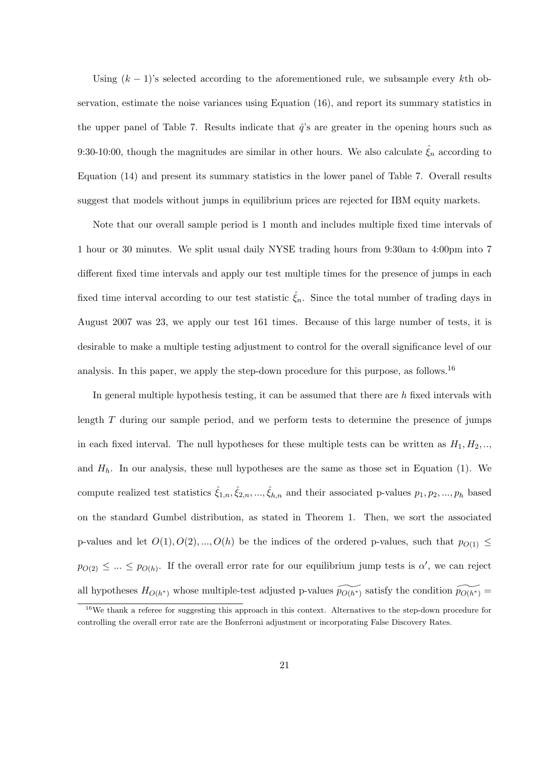Using (*k −* 1)'s selected according to the aforementioned rule, we subsample every *k*th observation, estimate the noise variances using Equation (16), and report its summary statistics in the upper panel of Table 7. Results indicate that  $\hat{q}$ 's are greater in the opening hours such as 9:30-10:00, though the magnitudes are similar in other hours. We also calculate  $\hat{\xi}_n$  according to Equation (14) and present its summary statistics in the lower panel of Table 7. Overall results suggest that models without jumps in equilibrium prices are rejected for IBM equity markets.

Note that our overall sample period is 1 month and includes multiple fixed time intervals of 1 hour or 30 minutes. We split usual daily NYSE trading hours from 9:30am to 4:00pm into 7 different fixed time intervals and apply our test multiple times for the presence of jumps in each fixed time interval according to our test statistic  $\xi_n$ . Since the total number of trading days in August 2007 was 23, we apply our test 161 times. Because of this large number of tests, it is desirable to make a multiple testing adjustment to control for the overall significance level of our analysis. In this paper, we apply the step-down procedure for this purpose, as follows.<sup>16</sup>

In general multiple hypothesis testing, it can be assumed that there are *h* fixed intervals with length *T* during our sample period, and we perform tests to determine the presence of jumps in each fixed interval. The null hypotheses for these multiple tests can be written as  $H_1, H_2, \ldots$ and  $H_h$ . In our analysis, these null hypotheses are the same as those set in Equation (1). We compute realized test statistics  $\hat{\xi}_{1,n}, \hat{\xi}_{2,n}, ..., \hat{\xi}_{h,n}$  and their associated p-values  $p_1, p_2, ..., p_h$  based on the standard Gumbel distribution, as stated in Theorem 1. Then, we sort the associated p-values and let  $O(1), O(2), ..., O(h)$  be the indices of the ordered p-values, such that  $p_{O(1)} \leq$  $p_{O(2)} \leq ... \leq p_{O(h)}$ . If the overall error rate for our equilibrium jump tests is  $\alpha'$ , we can reject all hypotheses  $H_{O(h^*)}$  whose multiple-test adjusted p-values  $p_{O(h^*)}$  satisfy the condition  $p_{O(h^*)}$ 

<sup>&</sup>lt;sup>16</sup>We thank a referee for suggesting this approach in this context. Alternatives to the step-down procedure for controlling the overall error rate are the Bonferroni adjustment or incorporating False Discovery Rates.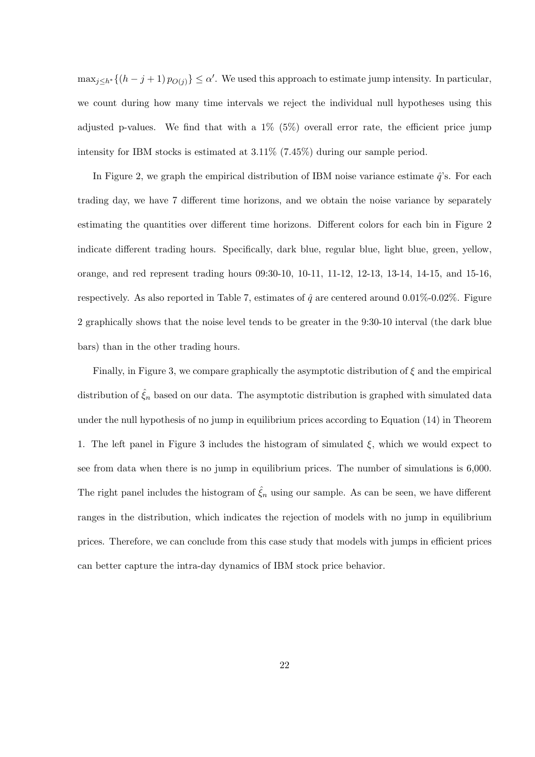$\max_{j \leq h^*} \{(h-j+1) p_{O(j)}\} \leq \alpha'$ . We used this approach to estimate jump intensity. In particular, we count during how many time intervals we reject the individual null hypotheses using this adjusted p-values. We find that with a  $1\%$  (5%) overall error rate, the efficient price jump intensity for IBM stocks is estimated at 3.11% (7.45%) during our sample period.

In Figure 2, we graph the empirical distribution of IBM noise variance estimate  $\hat{q}$ 's. For each trading day, we have 7 different time horizons, and we obtain the noise variance by separately estimating the quantities over different time horizons. Different colors for each bin in Figure 2 indicate different trading hours. Specifically, dark blue, regular blue, light blue, green, yellow, orange, and red represent trading hours 09:30-10, 10-11, 11-12, 12-13, 13-14, 14-15, and 15-16, respectively. As also reported in Table 7, estimates of  $\hat{q}$  are centered around 0.01%-0.02%. Figure 2 graphically shows that the noise level tends to be greater in the 9:30-10 interval (the dark blue bars) than in the other trading hours.

Finally, in Figure 3, we compare graphically the asymptotic distribution of *ξ* and the empirical distribution of  $\hat{\xi}_n$  based on our data. The asymptotic distribution is graphed with simulated data under the null hypothesis of no jump in equilibrium prices according to Equation (14) in Theorem 1. The left panel in Figure 3 includes the histogram of simulated *ξ*, which we would expect to see from data when there is no jump in equilibrium prices. The number of simulations is 6,000. The right panel includes the histogram of  $\hat{\xi}_n$  using our sample. As can be seen, we have different ranges in the distribution, which indicates the rejection of models with no jump in equilibrium prices. Therefore, we can conclude from this case study that models with jumps in efficient prices can better capture the intra-day dynamics of IBM stock price behavior.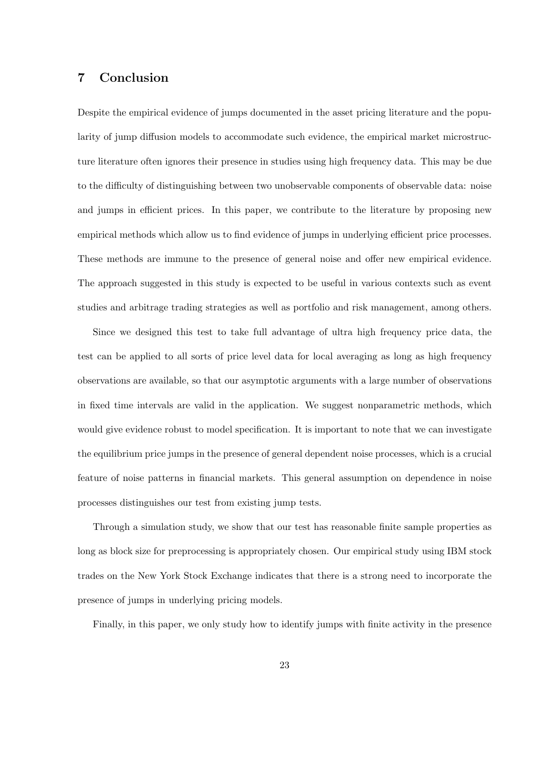# **7 Conclusion**

Despite the empirical evidence of jumps documented in the asset pricing literature and the popularity of jump diffusion models to accommodate such evidence, the empirical market microstructure literature often ignores their presence in studies using high frequency data. This may be due to the difficulty of distinguishing between two unobservable components of observable data: noise and jumps in efficient prices. In this paper, we contribute to the literature by proposing new empirical methods which allow us to find evidence of jumps in underlying efficient price processes. These methods are immune to the presence of general noise and offer new empirical evidence. The approach suggested in this study is expected to be useful in various contexts such as event studies and arbitrage trading strategies as well as portfolio and risk management, among others.

Since we designed this test to take full advantage of ultra high frequency price data, the test can be applied to all sorts of price level data for local averaging as long as high frequency observations are available, so that our asymptotic arguments with a large number of observations in fixed time intervals are valid in the application. We suggest nonparametric methods, which would give evidence robust to model specification. It is important to note that we can investigate the equilibrium price jumps in the presence of general dependent noise processes, which is a crucial feature of noise patterns in financial markets. This general assumption on dependence in noise processes distinguishes our test from existing jump tests.

Through a simulation study, we show that our test has reasonable finite sample properties as long as block size for preprocessing is appropriately chosen. Our empirical study using IBM stock trades on the New York Stock Exchange indicates that there is a strong need to incorporate the presence of jumps in underlying pricing models.

Finally, in this paper, we only study how to identify jumps with finite activity in the presence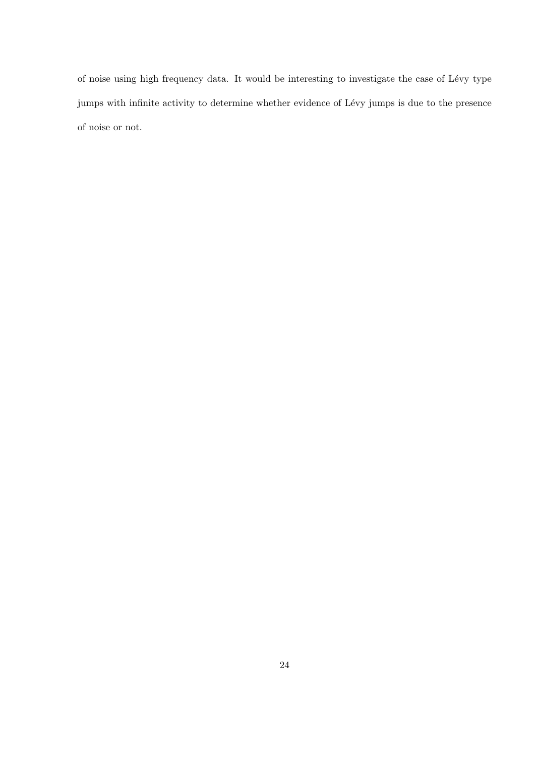of noise using high frequency data. It would be interesting to investigate the case of Lévy type jumps with infinite activity to determine whether evidence of Lévy jumps is due to the presence of noise or not.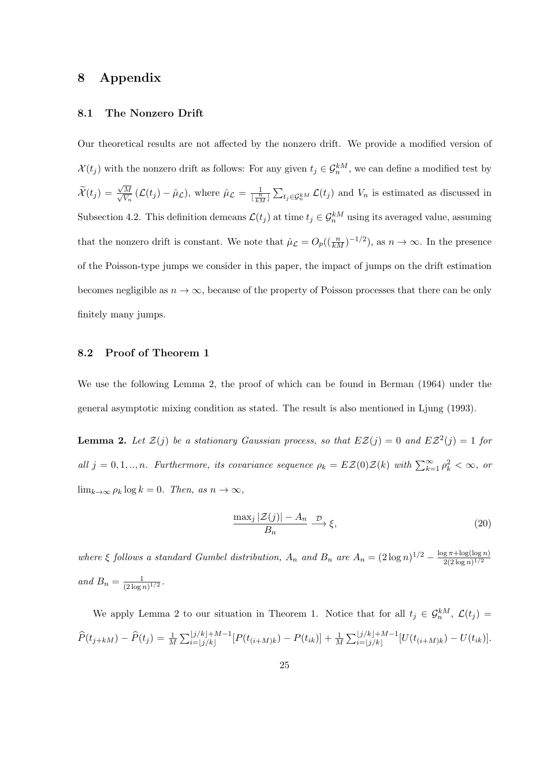# **8 Appendix**

#### **8.1 The Nonzero Drift**

Our theoretical results are not affected by the nonzero drift. We provide a modified version of  $\mathcal{X}(t_j)$  with the nonzero drift as follows: For any given  $t_j \in \mathcal{G}_n^{kM}$ , we can define a modified test by  $\widetilde{\mathcal{X}}(t_j) = \frac{\sqrt{2}}{\sqrt{2}}$ *√ M*  $\frac{M}{V_n}$  ( $\mathcal{L}(t_j) - \hat{\mu}_\mathcal{L}$ ), where  $\hat{\mu}_\mathcal{L} = \frac{1}{\lfloor \frac{n}{k \Lambda} \rfloor}$  $\frac{1}{\lfloor \frac{n}{kM} \rfloor} \sum_{t_j \in \mathcal{G}_n^{kM}} \mathcal{L}(t_j)$  and  $V_n$  is estimated as discussed in Subsection 4.2. This definition demeans  $\mathcal{L}(t_j)$  at time  $t_j \in \mathcal{G}_n^{kM}$  using its averaged value, assuming that the nonzero drift is constant. We note that  $\hat{\mu}_{\mathcal{L}} = O_p((\frac{n}{kM})^{-1/2})$ , as  $n \to \infty$ . In the presence of the Poisson-type jumps we consider in this paper, the impact of jumps on the drift estimation becomes negligible as  $n \to \infty$ , because of the property of Poisson processes that there can be only finitely many jumps.

#### **8.2 Proof of Theorem 1**

We use the following Lemma 2, the proof of which can be found in Berman (1964) under the general asymptotic mixing condition as stated. The result is also mentioned in Ljung (1993).

**Lemma 2.** Let  $\mathcal{Z}(j)$  be a stationary Gaussian process, so that  $E\mathcal{Z}(j) = 0$  and  $E\mathcal{Z}^2(j) = 1$  for all  $j = 0, 1, ..., n$ . Furthermore, its covariance sequence  $\rho_k = EZ(0)Z(k)$  with  $\sum_{k=1}^{\infty} \rho_k^2 < \infty$ , or lim<sub> $k\rightarrow\infty$ </sub>  $\rho_k$  log  $k = 0$ *. Then, as*  $n \rightarrow \infty$ *,* 

$$
\frac{\max_{j} |\mathcal{Z}(j)| - A_n}{B_n} \xrightarrow{\mathcal{D}} \xi,
$$
\n(20)

*where*  $\xi$  *follows a standard Gumbel distribution,*  $A_n$  *and*  $B_n$  *are*  $A_n = (2 \log n)^{1/2} - \frac{\log \pi + \log(\log n)}{2(2 \log n)^{1/2}}$  $2(2 \log n)^{1/2}$ *and*  $B_n = \frac{1}{(2 \log n)}$  $\frac{1}{(2 \log n)^{1/2}}$ 

We apply Lemma 2 to our situation in Theorem 1. Notice that for all  $t_j \in \mathcal{G}_n^{kM}$ ,  $\mathcal{L}(t_j)$  =  $\widehat{P}(t_{j+kM}) - \widehat{P}(t_j) = \frac{1}{M} \sum_{i=1}^{\lfloor j/k \rfloor + M - 1} [P(t_{(i+M)k}) - P(t_{ik})] + \frac{1}{M} \sum_{i=\lfloor j/k \rfloor}^{\lfloor j/k \rfloor + M - 1} [U(t_{(i+M)k}) - U(t_{ik})].$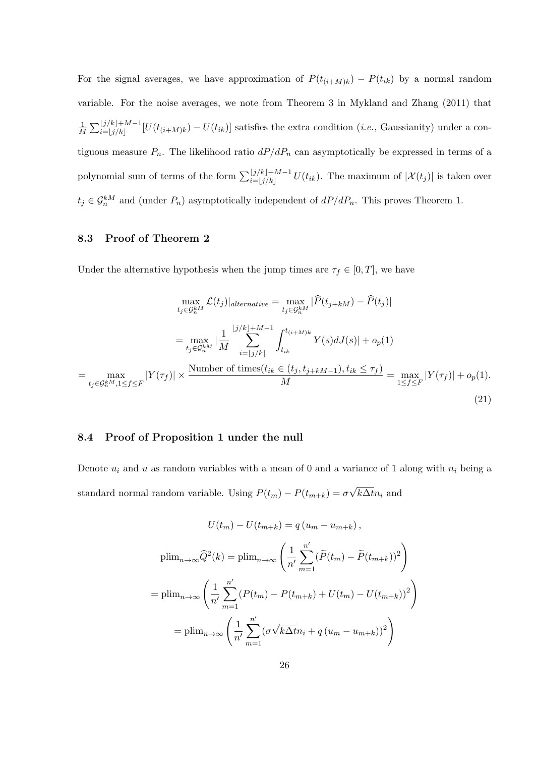For the signal averages, we have approximation of  $P(t_{(i+M)k}) - P(t_{ik})$  by a normal random variable. For the noise averages, we note from Theorem 3 in Mykland and Zhang (2011) that 1  $\frac{1}{M}\sum_{i=\lfloor j/k\rfloor}^{\lfloor j/k\rfloor+M-1}[U(t_{(i+M)k})-U(t_{ik})]$  satisfies the extra condition (*i.e.*, Gaussianity) under a contiguous measure  $P_n$ . The likelihood ratio  $dP/dP_n$  can asymptotically be expressed in terms of a polynomial sum of terms of the form  $\sum_{i=|j/k]}^{j/k+M-1} U(t_{ik})$ . The maximum of  $|\mathcal{X}(t_j)|$  is taken over  $t_j \in \mathcal{G}_n^{kM}$  and (under  $P_n$ ) asymptotically independent of  $dP/dP_n$ . This proves Theorem 1.

#### **8.3 Proof of Theorem 2**

Under the alternative hypothesis when the jump times are  $\tau_f \in [0, T]$ , we have

$$
\max_{t_j \in \mathcal{G}_n^{kM}} \mathcal{L}(t_j)|_{alternative} = \max_{t_j \in \mathcal{G}_n^{kM}} |\hat{P}(t_{j+kM}) - \hat{P}(t_j)|
$$
  
\n
$$
= \max_{t_j \in \mathcal{G}_n^{kM}} \left| \frac{1}{M} \sum_{i=\lfloor j/k \rfloor}^{\lfloor j/k \rfloor + M - 1} \int_{t_{ik}}^{t_{(i+M)k}} Y(s) dJ(s) \right| + o_p(1)
$$
  
\n
$$
= \max_{t_j \in \mathcal{G}_n^{kM}, 1 \leq f \leq F} |Y(\tau_f)| \times \frac{\text{Number of times}(t_{ik} \in (t_j, t_{j+kM-1}), t_{ik} \leq \tau_f)}{M} = \max_{1 \leq f \leq F} |Y(\tau_f)| + o_p(1).
$$
\n(21)

#### **8.4 Proof of Proposition 1 under the null**

Denote  $u_i$  and  $u$  as random variables with a mean of 0 and a variance of 1 along with  $n_i$  being a standard normal random variable. Using  $P(t_m) - P(t_{m+k}) = \sigma$ *√*  $k\Delta t n_i$  and

$$
U(t_m) - U(t_{m+k}) = q (u_m - u_{m+k}),
$$
  
\n
$$
\text{plim}_{n \to \infty} \hat{Q}^2(k) = \text{plim}_{n \to \infty} \left( \frac{1}{n'} \sum_{m=1}^{n'} (\tilde{P}(t_m) - \tilde{P}(t_{m+k}))^2 \right)
$$
  
\n
$$
= \text{plim}_{n \to \infty} \left( \frac{1}{n'} \sum_{m=1}^{n'} (P(t_m) - P(t_{m+k}) + U(t_m) - U(t_{m+k}))^2 \right)
$$
  
\n
$$
= \text{plim}_{n \to \infty} \left( \frac{1}{n'} \sum_{m=1}^{n'} (\sigma \sqrt{k \Delta t} n_i + q (u_m - u_{m+k}))^2 \right)
$$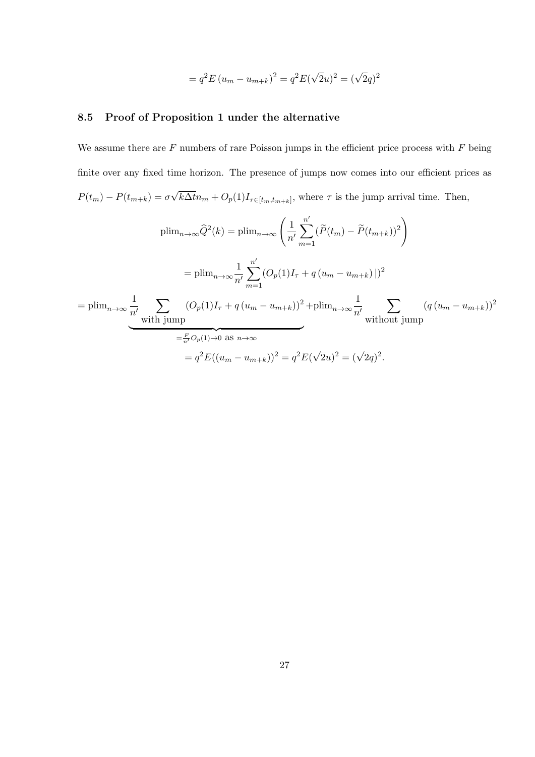$$
= q2E (um - um+k)2 = q2E(\sqrt{2}u)2 = (\sqrt{2}q)2
$$

# **8.5 Proof of Proposition 1 under the alternative**

We assume there are *F* numbers of rare Poisson jumps in the efficient price process with *F* being finite over any fixed time horizon. The presence of jumps now comes into our efficient prices as  $P(t_m) - P(t_{m+k}) = \sigma$ *√*  $k\Delta tn_m + O_p(1)I_{\tau \in [t_m, t_{m+k}]}$ , where  $\tau$  is the jump arrival time. Then,

$$
\text{plim}_{n \to \infty} \hat{Q}^{2}(k) = \text{plim}_{n \to \infty} \left( \frac{1}{n'} \sum_{m=1}^{n'} (\tilde{P}(t_{m}) - \tilde{P}(t_{m+k}))^{2} \right)
$$
\n
$$
= \text{plim}_{n \to \infty} \frac{1}{n'} \sum_{m=1}^{n'} (O_{p}(1)I_{\tau} + q (u_{m} - u_{m+k}))^{2}
$$
\n
$$
= \text{plim}_{n \to \infty} \frac{1}{n'} \sum_{m \text{with jump}} (O_{p}(1)I_{\tau} + q (u_{m} - u_{m+k}))^{2} + \text{plim}_{n \to \infty} \frac{1}{n'} \sum_{m \text{without jump}} (q (u_{m} - u_{m+k}))^{2}
$$
\n
$$
= \frac{F}{n'} O_{p}(1) \to 0 \text{ as } n \to \infty
$$
\n
$$
= q^{2} E((u_{m} - u_{m+k}))^{2} = q^{2} E(\sqrt{2}u)^{2} = (\sqrt{2}q)^{2}.
$$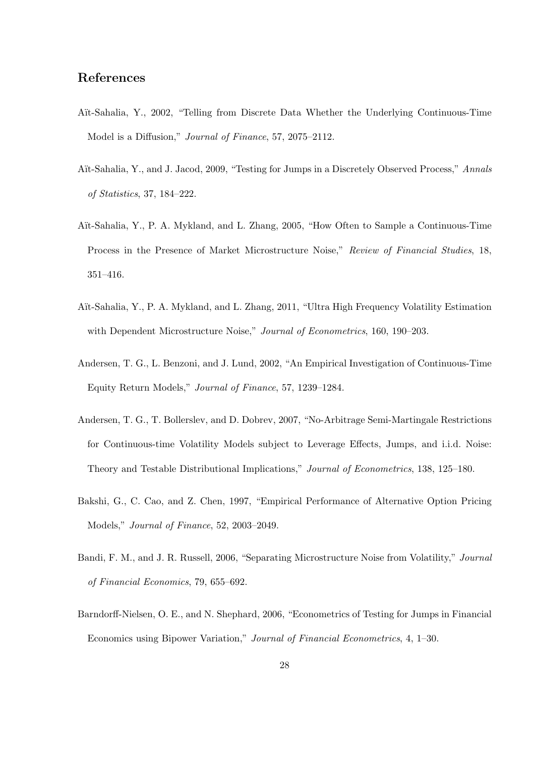# **References**

- Aït-Sahalia, Y., 2002, "Telling from Discrete Data Whether the Underlying Continuous-Time Model is a Diffusion," *Journal of Finance*, 57, 2075–2112.
- A¨ıt-Sahalia, Y., and J. Jacod, 2009, "Testing for Jumps in a Discretely Observed Process," *Annals of Statistics*, 37, 184–222.
- Aït-Sahalia, Y., P. A. Mykland, and L. Zhang, 2005, "How Often to Sample a Continuous-Time Process in the Presence of Market Microstructure Noise," *Review of Financial Studies*, 18, 351–416.
- Aït-Sahalia, Y., P. A. Mykland, and L. Zhang, 2011, "Ultra High Frequency Volatility Estimation with Dependent Microstructure Noise," *Journal of Econometrics*, 160, 190–203.
- Andersen, T. G., L. Benzoni, and J. Lund, 2002, "An Empirical Investigation of Continuous-Time Equity Return Models," *Journal of Finance*, 57, 1239–1284.
- Andersen, T. G., T. Bollerslev, and D. Dobrev, 2007, "No-Arbitrage Semi-Martingale Restrictions for Continuous-time Volatility Models subject to Leverage Effects, Jumps, and i.i.d. Noise: Theory and Testable Distributional Implications," *Journal of Econometrics*, 138, 125–180.
- Bakshi, G., C. Cao, and Z. Chen, 1997, "Empirical Performance of Alternative Option Pricing Models," *Journal of Finance*, 52, 2003–2049.
- Bandi, F. M., and J. R. Russell, 2006, "Separating Microstructure Noise from Volatility," *Journal of Financial Economics*, 79, 655–692.
- Barndorff-Nielsen, O. E., and N. Shephard, 2006, "Econometrics of Testing for Jumps in Financial Economics using Bipower Variation," *Journal of Financial Econometrics*, 4, 1–30.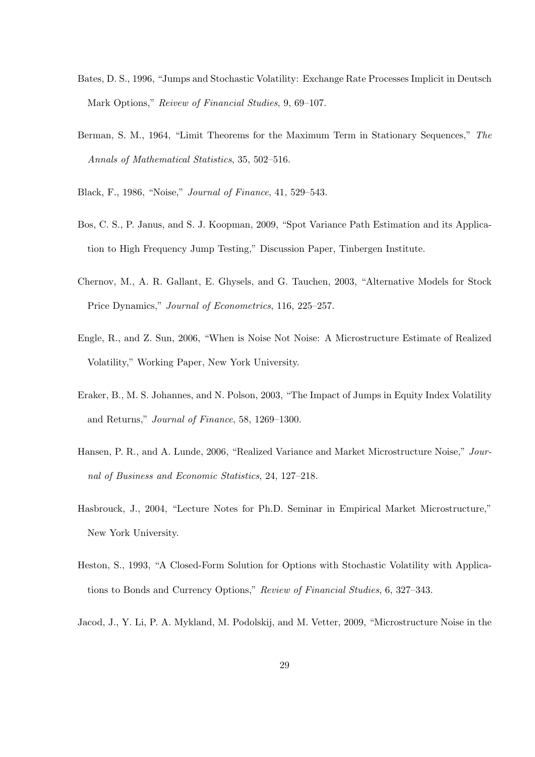- Bates, D. S., 1996, "Jumps and Stochastic Volatility: Exchange Rate Processes Implicit in Deutsch Mark Options," *Reivew of Financial Studies*, 9, 69–107.
- Berman, S. M., 1964, "Limit Theorems for the Maximum Term in Stationary Sequences," *The Annals of Mathematical Statistics*, 35, 502–516.
- Black, F., 1986, "Noise," *Journal of Finance*, 41, 529–543.
- Bos, C. S., P. Janus, and S. J. Koopman, 2009, "Spot Variance Path Estimation and its Application to High Frequency Jump Testing," Discussion Paper, Tinbergen Institute.
- Chernov, M., A. R. Gallant, E. Ghysels, and G. Tauchen, 2003, "Alternative Models for Stock Price Dynamics," *Journal of Econometrics*, 116, 225–257.
- Engle, R., and Z. Sun, 2006, "When is Noise Not Noise: A Microstructure Estimate of Realized Volatility," Working Paper, New York University.
- Eraker, B., M. S. Johannes, and N. Polson, 2003, "The Impact of Jumps in Equity Index Volatility and Returns," *Journal of Finance*, 58, 1269–1300.
- Hansen, P. R., and A. Lunde, 2006, "Realized Variance and Market Microstructure Noise," *Journal of Business and Economic Statistics*, 24, 127–218.
- Hasbrouck, J., 2004, "Lecture Notes for Ph.D. Seminar in Empirical Market Microstructure," New York University.
- Heston, S., 1993, "A Closed-Form Solution for Options with Stochastic Volatility with Applications to Bonds and Currency Options," *Review of Financial Studies*, 6, 327–343.
- Jacod, J., Y. Li, P. A. Mykland, M. Podolskij, and M. Vetter, 2009, "Microstructure Noise in the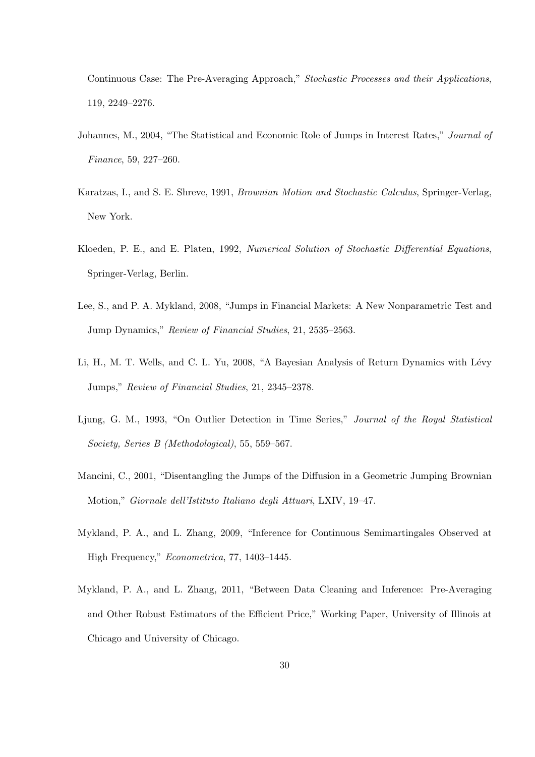Continuous Case: The Pre-Averaging Approach," *Stochastic Processes and their Applications*, 119, 2249–2276.

- Johannes, M., 2004, "The Statistical and Economic Role of Jumps in Interest Rates," *Journal of Finance*, 59, 227–260.
- Karatzas, I., and S. E. Shreve, 1991, *Brownian Motion and Stochastic Calculus*, Springer-Verlag, New York.
- Kloeden, P. E., and E. Platen, 1992, *Numerical Solution of Stochastic Differential Equations*, Springer-Verlag, Berlin.
- Lee, S., and P. A. Mykland, 2008, "Jumps in Financial Markets: A New Nonparametric Test and Jump Dynamics," *Review of Financial Studies*, 21, 2535–2563.
- Li, H., M. T. Wells, and C. L. Yu, 2008, "A Bayesian Analysis of Return Dynamics with Lévy Jumps," *Review of Financial Studies*, 21, 2345–2378.
- Ljung, G. M., 1993, "On Outlier Detection in Time Series," *Journal of the Royal Statistical Society, Series B (Methodological)*, 55, 559–567.
- Mancini, C., 2001, "Disentangling the Jumps of the Diffusion in a Geometric Jumping Brownian Motion," *Giornale dell'Istituto Italiano degli Attuari*, LXIV, 19–47.
- Mykland, P. A., and L. Zhang, 2009, "Inference for Continuous Semimartingales Observed at High Frequency," *Econometrica*, 77, 1403–1445.
- Mykland, P. A., and L. Zhang, 2011, "Between Data Cleaning and Inference: Pre-Averaging and Other Robust Estimators of the Efficient Price," Working Paper, University of Illinois at Chicago and University of Chicago.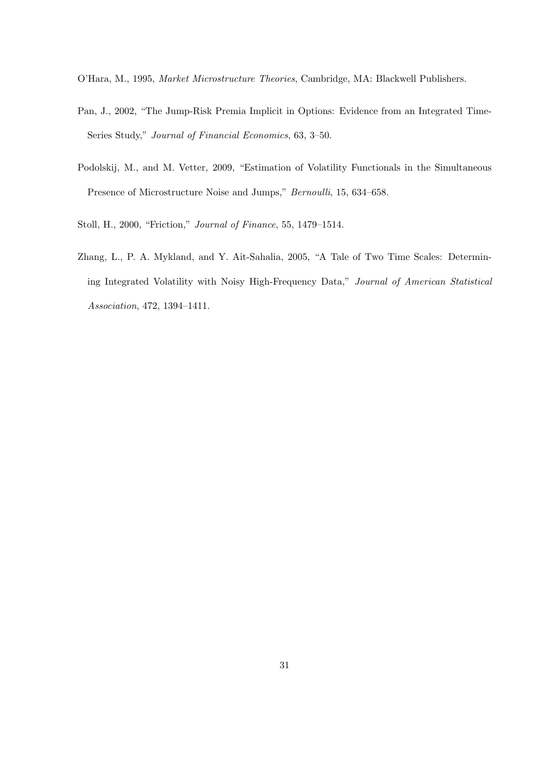O'Hara, M., 1995, *Market Microstructure Theories*, Cambridge, MA: Blackwell Publishers.

- Pan, J., 2002, "The Jump-Risk Premia Implicit in Options: Evidence from an Integrated Time-Series Study," *Journal of Financial Economics*, 63, 3–50.
- Podolskij, M., and M. Vetter, 2009, "Estimation of Volatility Functionals in the Simultaneous Presence of Microstructure Noise and Jumps," *Bernoulli*, 15, 634–658.
- Stoll, H., 2000, "Friction," *Journal of Finance*, 55, 1479–1514.
- Zhang, L., P. A. Mykland, and Y. Ait-Sahalia, 2005, "A Tale of Two Time Scales: Determining Integrated Volatility with Noisy High-Frequency Data," *Journal of American Statistical Association*, 472, 1394–1411.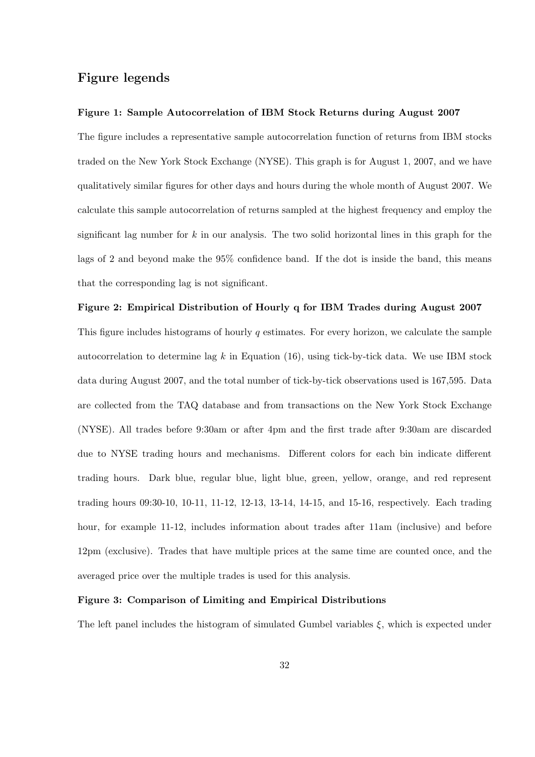# **Figure legends**

#### **Figure 1: Sample Autocorrelation of IBM Stock Returns during August 2007**

The figure includes a representative sample autocorrelation function of returns from IBM stocks traded on the New York Stock Exchange (NYSE). This graph is for August 1, 2007, and we have qualitatively similar figures for other days and hours during the whole month of August 2007. We calculate this sample autocorrelation of returns sampled at the highest frequency and employ the significant lag number for *k* in our analysis. The two solid horizontal lines in this graph for the lags of 2 and beyond make the 95% confidence band. If the dot is inside the band, this means that the corresponding lag is not significant.

# **Figure 2: Empirical Distribution of Hourly q for IBM Trades during August 2007** This figure includes histograms of hourly *q* estimates. For every horizon, we calculate the sample

autocorrelation to determine lag *k* in Equation (16), using tick-by-tick data. We use IBM stock data during August 2007, and the total number of tick-by-tick observations used is 167,595. Data are collected from the TAQ database and from transactions on the New York Stock Exchange (NYSE). All trades before 9:30am or after 4pm and the first trade after 9:30am are discarded due to NYSE trading hours and mechanisms. Different colors for each bin indicate different trading hours. Dark blue, regular blue, light blue, green, yellow, orange, and red represent trading hours 09:30-10, 10-11, 11-12, 12-13, 13-14, 14-15, and 15-16, respectively. Each trading hour, for example 11-12, includes information about trades after 11am (inclusive) and before 12pm (exclusive). Trades that have multiple prices at the same time are counted once, and the averaged price over the multiple trades is used for this analysis.

#### **Figure 3: Comparison of Limiting and Empirical Distributions**

The left panel includes the histogram of simulated Gumbel variables *ξ*, which is expected under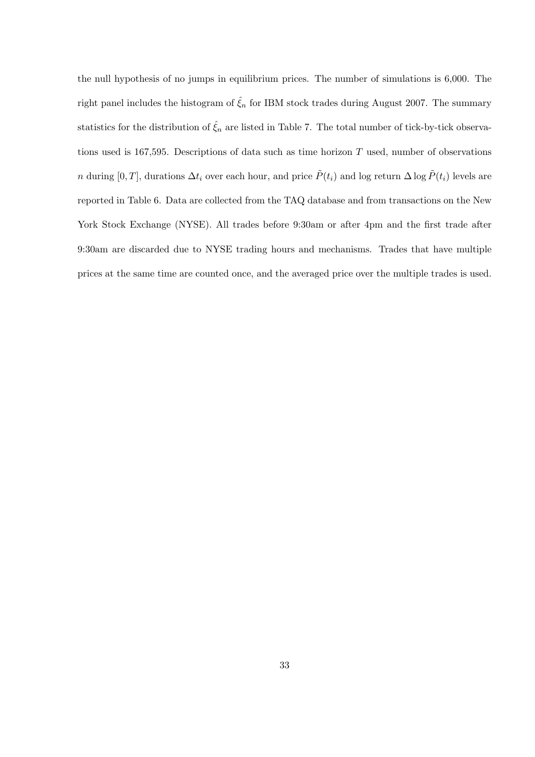the null hypothesis of no jumps in equilibrium prices. The number of simulations is 6,000. The right panel includes the histogram of  $\hat{\xi}_n$  for IBM stock trades during August 2007. The summary statistics for the distribution of  $\hat{\xi}_n$  are listed in Table 7. The total number of tick-by-tick observations used is 167,595. Descriptions of data such as time horizon *T* used, number of observations *n* during [0, *T*], durations  $\Delta t_i$  over each hour, and price  $\tilde{P}(t_i)$  and log return  $\Delta \log \tilde{P}(t_i)$  levels are reported in Table 6. Data are collected from the TAQ database and from transactions on the New York Stock Exchange (NYSE). All trades before 9:30am or after 4pm and the first trade after 9:30am are discarded due to NYSE trading hours and mechanisms. Trades that have multiple prices at the same time are counted once, and the averaged price over the multiple trades is used.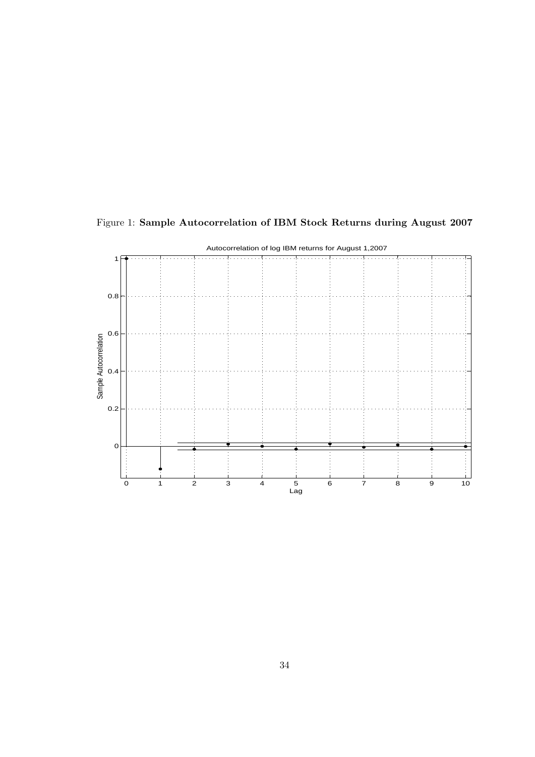

Figure 1: **Sample Autocorrelation of IBM Stock Returns during August 2007**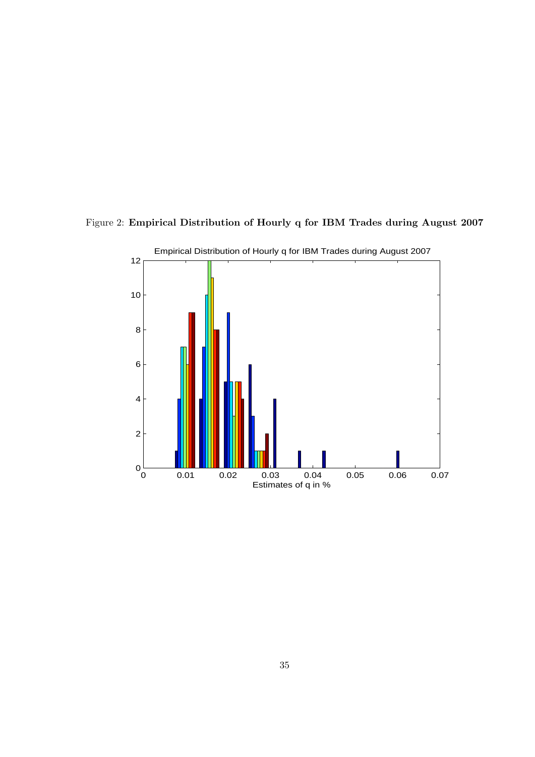

Figure 2: **Empirical Distribution of Hourly q for IBM Trades during August 2007**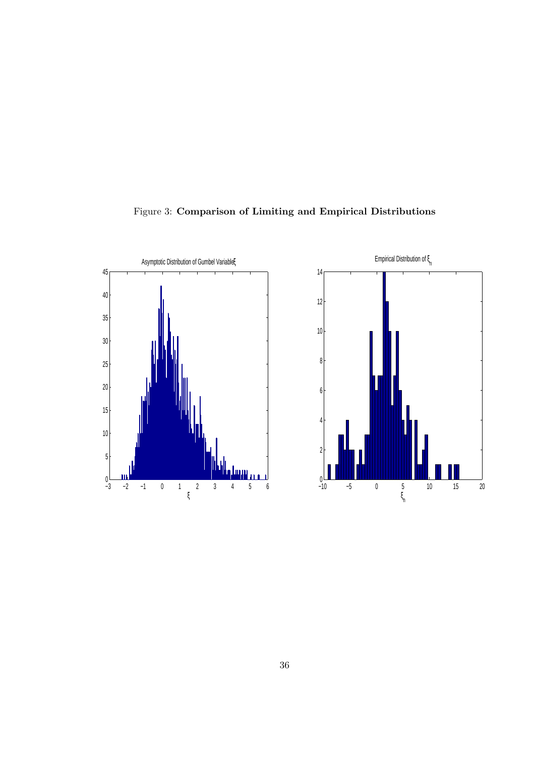

Figure 3: **Comparison of Limiting and Empirical Distributions**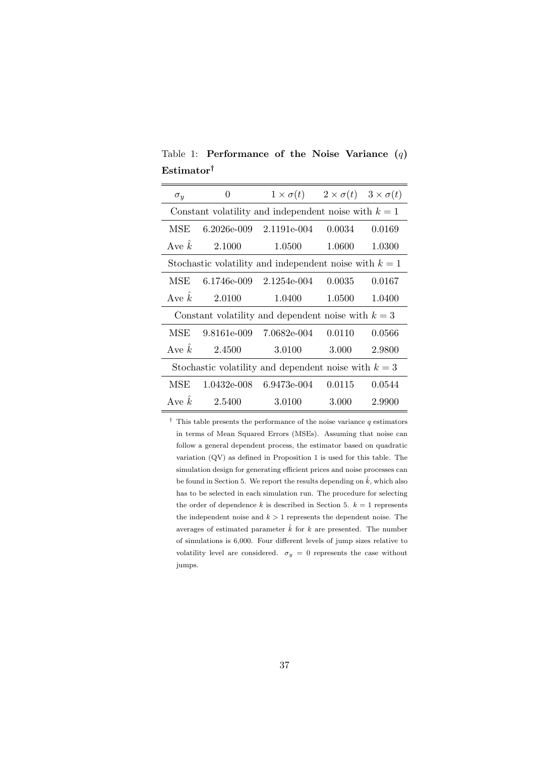| $\sigma_y$                                             | 0                                                        | $1 \times \sigma(t)$ $2 \times \sigma(t)$ $3 \times \sigma(t)$ |        |        |  |  |  |
|--------------------------------------------------------|----------------------------------------------------------|----------------------------------------------------------------|--------|--------|--|--|--|
| Constant volatility and independent noise with $k = 1$ |                                                          |                                                                |        |        |  |  |  |
| MSE                                                    | 6.2026e-009                                              | 2.1191e-004                                                    | 0.0034 | 0.0169 |  |  |  |
| Ave $k$                                                | 2.1000                                                   | 1.0500                                                         | 1.0600 | 1.0300 |  |  |  |
|                                                        | Stochastic volatility and independent noise with $k = 1$ |                                                                |        |        |  |  |  |
| MSE                                                    | 6.1746e-009                                              | 2.1254e-004                                                    | 0.0035 | 0.0167 |  |  |  |
| Ave $k$                                                | 2.0100                                                   | 1.0400                                                         | 1.0500 | 1.0400 |  |  |  |
|                                                        | Constant volatility and dependent noise with $k = 3$     |                                                                |        |        |  |  |  |
| MSE                                                    | 9.8161e-009                                              | 7.0682e-004                                                    | 0.0110 | 0.0566 |  |  |  |
| Ave $k$                                                | 2.4500                                                   | 3.0100                                                         | 3.000  | 2.9800 |  |  |  |
| Stochastic volatility and dependent noise with $k = 3$ |                                                          |                                                                |        |        |  |  |  |
| MSE                                                    | 1.0432e-008                                              | 6.9473e-004                                                    | 0.0115 | 0.0544 |  |  |  |
| Ave $k$                                                | 2.5400                                                   | 3.0100                                                         | 3.000  | 2.9900 |  |  |  |

Table 1: **Performance of the Noise Variance (***q***) Estimator***†*

*†* This table presents the performance of the noise variance *q* estimators in terms of Mean Squared Errors (MSEs). Assuming that noise can follow a general dependent process, the estimator based on quadratic variation (QV) as defined in Proposition 1 is used for this table. The simulation design for generating efficient prices and noise processes can be found in Section 5. We report the results depending on  $\hat{k}$ , which also has to be selected in each simulation run. The procedure for selecting the order of dependence  $k$  is described in Section 5.  $k = 1$  represents the independent noise and  $k > 1$  represents the dependent noise. The averages of estimated parameter  $\hat{k}$  for  $k$  are presented. The number of simulations is 6,000. Four different levels of jump sizes relative to volatility level are considered.  $\sigma_y = 0$  represents the case without jumps.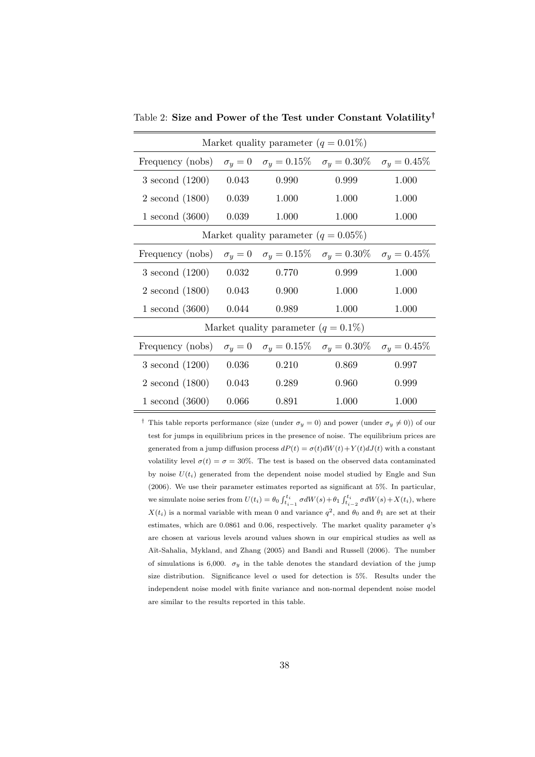| Market quality parameter $(q = 0.01\%)$ |              |                                         |                     |                     |  |  |  |  |
|-----------------------------------------|--------------|-----------------------------------------|---------------------|---------------------|--|--|--|--|
| Frequency (nobs)                        | $\sigma_y=0$ | $\sigma_y = 0.15\%$                     | $\sigma_y = 0.30\%$ | $\sigma_y = 0.45\%$ |  |  |  |  |
| $3 \text{ second } (1200)$              | 0.043        | 0.990                                   | 0.999               | 1.000               |  |  |  |  |
| $2 \text{ second } (1800)$              | 0.039        | 1.000                                   | 1.000               | 1.000               |  |  |  |  |
| 1 second $(3600)$                       | 0.039        | 1.000                                   | 1.000               | 1.000               |  |  |  |  |
|                                         |              | Market quality parameter $(q = 0.05\%)$ |                     |                     |  |  |  |  |
| Frequency (nobs)                        | $\sigma_y=0$ | $\sigma_y = 0.15\%$                     | $\sigma_y = 0.30\%$ | $\sigma_y = 0.45\%$ |  |  |  |  |
| $3 \text{ second } (1200)$              | 0.032        | 0.770                                   | 0.999               | 1.000               |  |  |  |  |
| $2 \text{ second } (1800)$              | 0.043        | 0.900                                   | 1.000               | 1.000               |  |  |  |  |
| 1 second $(3600)$                       | 0.044        | 0.989                                   | 1.000               | 1.000               |  |  |  |  |
|                                         |              | Market quality parameter $(q = 0.1\%)$  |                     |                     |  |  |  |  |
| Frequency (nobs)                        | $\sigma_y=0$ | $\sigma_y = 0.15\%$                     | $\sigma_y = 0.30\%$ | $\sigma_y = 0.45\%$ |  |  |  |  |
| $3 \text{ second } (1200)$              | 0.036        | 0.210                                   | 0.869               | 0.997               |  |  |  |  |
| $2 \text{ second } (1800)$              | 0.043        | 0.289                                   | 0.960               | 0.999               |  |  |  |  |
| 1 second $(3600)$                       | 0.066        | 0.891                                   | 1.000               | 1.000               |  |  |  |  |

Table 2: **Size and Power of the Test under Constant Volatility***†*

<sup>†</sup> This table reports performance (size (under  $\sigma_y = 0$ ) and power (under  $\sigma_y \neq 0$ )) of our test for jumps in equilibrium prices in the presence of noise. The equilibrium prices are generated from a jump diffusion process  $dP(t) = \sigma(t) dW(t) + Y(t) dJ(t)$  with a constant volatility level  $\sigma(t) = \sigma = 30\%$ . The test is based on the observed data contaminated by noise  $U(t_i)$  generated from the dependent noise model studied by Engle and Sun (2006). We use their parameter estimates reported as significant at 5%. In particular, we simulate noise series from  $U(t_i) = \theta_0 \int_{t_{i-1}}^{t_i} \sigma dW(s) + \theta_1 \int_{t_{i-2}}^{t_i} \sigma dW(s) + X(t_i)$ , where  $X(t_i)$  is a normal variable with mean 0 and variance  $q^2$ , and  $\theta_0$  and  $\theta_1$  are set at their estimates, which are 0.0861 and 0.06, respectively. The market quality parameter *q*'s are chosen at various levels around values shown in our empirical studies as well as Aït-Sahalia, Mykland, and Zhang (2005) and Bandi and Russell (2006). The number of simulations is 6,000.  $\sigma_y$  in the table denotes the standard deviation of the jump size distribution. Significance level  $\alpha$  used for detection is 5%. Results under the independent noise model with finite variance and non-normal dependent noise model are similar to the results reported in this table.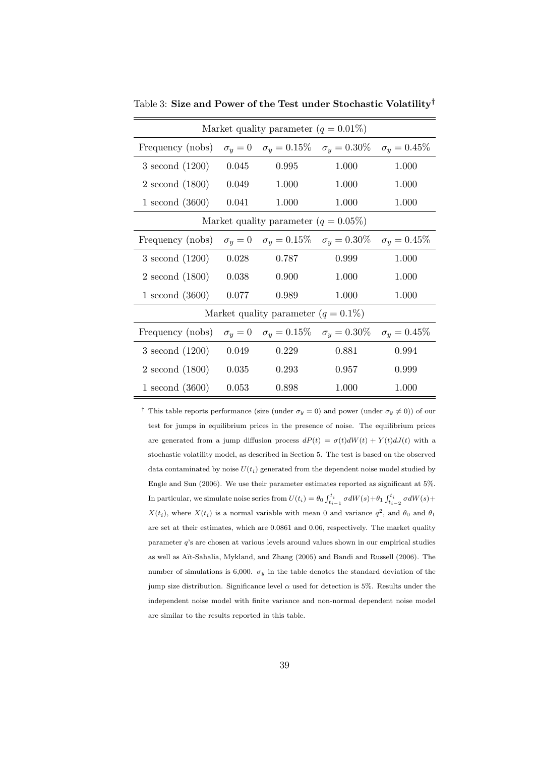| Market quality parameter $(q = 0.01\%)$ |                                         |                                        |                     |                     |  |  |  |  |  |  |
|-----------------------------------------|-----------------------------------------|----------------------------------------|---------------------|---------------------|--|--|--|--|--|--|
| Frequency (nobs)                        | $\sigma_y=0$                            | $\sigma_y = 0.15\%$                    | $\sigma_y = 0.30\%$ | $\sigma_y = 0.45\%$ |  |  |  |  |  |  |
| $3 \text{ second } (1200)$              | 0.045                                   | 0.995                                  | 1.000               | 1.000               |  |  |  |  |  |  |
| $2 \text{ second } (1800)$              | 0.049                                   | 1.000                                  | 1.000               | 1.000               |  |  |  |  |  |  |
| 1 second $(3600)$                       | 0.041                                   | 1.000                                  | 1.000               | 1.000               |  |  |  |  |  |  |
|                                         | Market quality parameter $(q = 0.05\%)$ |                                        |                     |                     |  |  |  |  |  |  |
| Frequency (nobs)                        | $\sigma_y=0$                            | $\sigma_y = 0.15\%$                    | $\sigma_y = 0.30\%$ | $\sigma_y = 0.45\%$ |  |  |  |  |  |  |
| $3 \text{ second } (1200)$              | 0.028                                   | 0.787                                  | 0.999               | 1.000               |  |  |  |  |  |  |
| $2 \text{ second } (1800)$              | 0.038                                   | 0.900                                  | 1.000               | 1.000               |  |  |  |  |  |  |
| $1$ second $(3600)$                     | 0.077                                   | 0.989                                  | 1.000               | 1.000               |  |  |  |  |  |  |
|                                         |                                         | Market quality parameter $(q = 0.1\%)$ |                     |                     |  |  |  |  |  |  |
| Frequency (nobs)                        | $\sigma_y=0$                            | $\sigma_y = 0.15\%$                    | $\sigma_y = 0.30\%$ | $\sigma_y = 0.45\%$ |  |  |  |  |  |  |
| $3 \text{ second } (1200)$              | 0.049                                   | 0.229                                  | 0.881               | 0.994               |  |  |  |  |  |  |
| $2 \text{ second } (1800)$              | 0.035                                   | 0.293                                  | 0.957               | 0.999               |  |  |  |  |  |  |
| 1 second $(3600)$                       | 0.053                                   | 0.898                                  | 1.000               | 1.000               |  |  |  |  |  |  |

Table 3: **Size and Power of the Test under Stochastic Volatility***†*

<sup>†</sup> This table reports performance (size (under  $\sigma_y = 0$ ) and power (under  $\sigma_y \neq 0$ )) of our test for jumps in equilibrium prices in the presence of noise. The equilibrium prices are generated from a jump diffusion process  $dP(t) = \sigma(t)dW(t) + Y(t)dJ(t)$  with a stochastic volatility model, as described in Section 5. The test is based on the observed data contaminated by noise  $U(t_i)$  generated from the dependent noise model studied by Engle and Sun (2006). We use their parameter estimates reported as significant at 5%. In particular, we simulate noise series from  $U(t_i) = \theta_0 \int_{t_{i-1}}^{t_i} \sigma dW(s) + \theta_1 \int_{t_{i-2}}^{t_i} \sigma dW(s) +$  $X(t_i)$ , where  $X(t_i)$  is a normal variable with mean 0 and variance  $q^2$ , and  $\theta_0$  and  $\theta_1$ are set at their estimates, which are 0.0861 and 0.06, respectively. The market quality parameter *q*'s are chosen at various levels around values shown in our empirical studies as well as A¨ıt-Sahalia, Mykland, and Zhang (2005) and Bandi and Russell (2006). The number of simulations is 6,000.  $\sigma_y$  in the table denotes the standard deviation of the jump size distribution. Significance level  $\alpha$  used for detection is 5%. Results under the independent noise model with finite variance and non-normal dependent noise model are similar to the results reported in this table.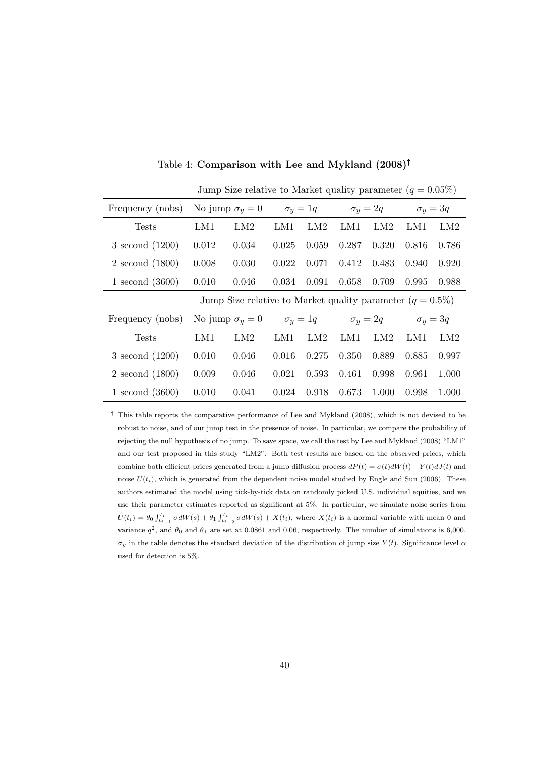| Jump Size relative to Market quality parameter $(q = 0.05\%)$ |                        |       |                 |                 |                 |                 |                                    |                 |
|---------------------------------------------------------------|------------------------|-------|-----------------|-----------------|-----------------|-----------------|------------------------------------|-----------------|
| Frequency (nobs)                                              | No jump $\sigma_y = 0$ |       | $\sigma_y = 1q$ |                 | $\sigma_y = 2q$ |                 | $\sigma_y = 3q$                    |                 |
| <b>Tests</b>                                                  | LM1                    | LM2   | LM1             | LM <sub>2</sub> | LM1             | LM2             | LM1                                | LM2             |
| 3 second $(1200)$                                             | 0.012                  | 0.034 | 0.025           | 0.059           | 0.287           | 0.320           | 0.816                              | 0.786           |
| $2 \text{ second } (1800)$                                    | 0.008                  | 0.030 | 0.022           | 0.071           | 0.412           | 0.483           | 0.940                              | 0.920           |
| 1 second $(3600)$                                             | 0.010                  | 0.046 | 0.034           | 0.091           | 0.658           | 0.709           | 0.995                              | 0.988           |
| Jump Size relative to Market quality parameter $(q = 0.5\%)$  |                        |       |                 |                 |                 |                 |                                    |                 |
| Frequency (nobs)                                              | No jump $\sigma_y = 0$ |       |                 | $\sigma_y = 1q$ |                 |                 | $\sigma_y = 2q$<br>$\sigma_y = 3q$ |                 |
| <b>Tests</b>                                                  | LM1                    | LM2   | LM1             | LM <sub>2</sub> | LM1             | LM <sub>2</sub> | LM1                                | LM <sub>2</sub> |
| 3 second $(1200)$                                             | 0.010                  | 0.046 | 0.016           | 0.275           | 0.350           | 0.889           | 0.885                              | 0.997           |
| $2$ second $(1800)$                                           | 0.009                  | 0.046 | 0.021           | 0.593           | 0.461           | 0.998           | 0.961                              | 1.000           |
| $1$ second $(3600)$                                           | 0.010                  | 0.041 | 0.024           | 0.918           | 0.673           | 1.000           | 0.998                              | 1.000           |

Table 4: **Comparison with Lee and Mykland (2008)***†*

*†* This table reports the comparative performance of Lee and Mykland (2008), which is not devised to be robust to noise, and of our jump test in the presence of noise. In particular, we compare the probability of rejecting the null hypothesis of no jump. To save space, we call the test by Lee and Mykland (2008) "LM1" and our test proposed in this study "LM2". Both test results are based on the observed prices, which combine both efficient prices generated from a jump diffusion process  $dP(t) = \sigma(t)dW(t) + Y(t)dJ(t)$  and noise  $U(t_i)$ , which is generated from the dependent noise model studied by Engle and Sun (2006). These authors estimated the model using tick-by-tick data on randomly picked U.S. individual equities, and we use their parameter estimates reported as significant at 5%. In particular, we simulate noise series from  $U(t_i) = \theta_0 \int_{t_{i-1}}^{t_i} \sigma dW(s) + \theta_1 \int_{t_{i-2}}^{t_i} \sigma dW(s) + X(t_i)$ , where  $X(t_i)$  is a normal variable with mean 0 and variance  $q^2$ , and  $\theta_0$  and  $\theta_1$  are set at 0.0861 and 0.06, respectively. The number of simulations is 6,000. *σ*<sub>*y*</sub> in the table denotes the standard deviation of the distribution of jump size *Y*(*t*). Significance level *α* used for detection is 5%.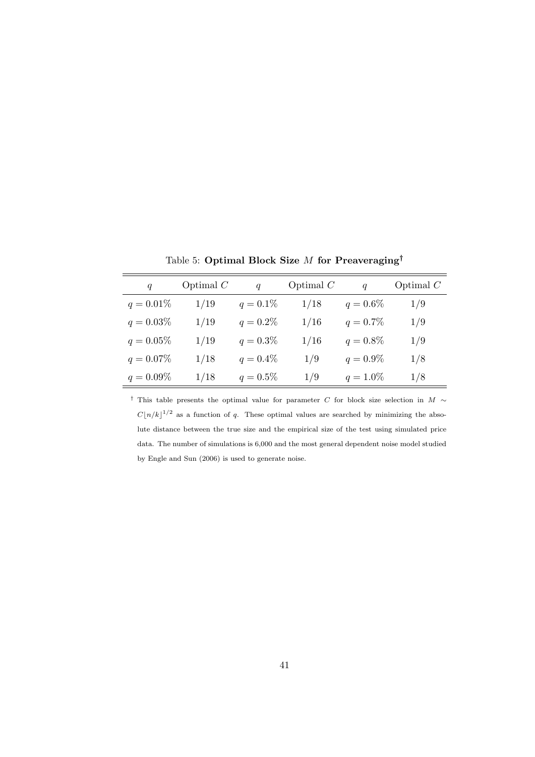| $\boldsymbol{q}$ | Optimal $C$ | $\boldsymbol{q}$ | Optimal $C$ | q           | Optimal $C$ |
|------------------|-------------|------------------|-------------|-------------|-------------|
| $q = 0.01\%$     | 1/19        | $q = 0.1\%$      | 1/18        | $q = 0.6\%$ | 1/9         |
| $q = 0.03\%$     | 1/19        | $q = 0.2\%$      | 1/16        | $q = 0.7\%$ | 1/9         |
| $q = 0.05\%$     | 1/19        | $q = 0.3\%$      | 1/16        | $q = 0.8\%$ | 1/9         |
| $q = 0.07\%$     | 1/18        | $q = 0.4\%$      | 1/9         | $q = 0.9\%$ | 1/8         |
| $q = 0.09\%$     | 1/18        | $q = 0.5\%$      | 1/9         | $q = 1.0\%$ | 1/8         |

Table 5: **Optimal Block Size** *M* **for Preaveraging***†*

*†* This table presents the optimal value for parameter *C* for block size selection in *M ∼*  $C[n/k]$ <sup> $1/2$ </sup> as a function of *q*. These optimal values are searched by minimizing the absolute distance between the true size and the empirical size of the test using simulated price data. The number of simulations is 6,000 and the most general dependent noise model studied by Engle and Sun (2006) is used to generate noise.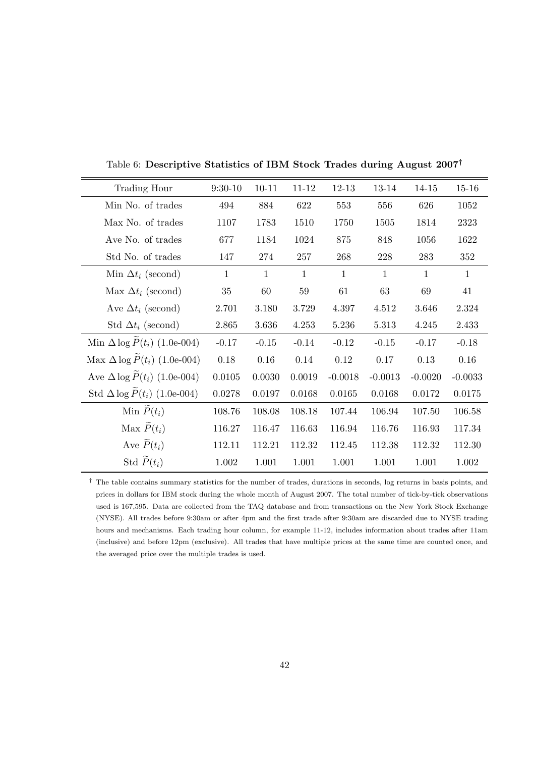| Trading Hour                                 | $9:30-10$    | $10 - 11$    | $11 - 12$    | 12-13        | 13-14        | 14-15        | $15 - 16$    |
|----------------------------------------------|--------------|--------------|--------------|--------------|--------------|--------------|--------------|
| Min No. of trades                            | 494          | 884          | 622          | 553          | 556          | 626          | 1052         |
| Max No. of trades                            | 1107         | 1783         | 1510         | 1750         | 1505         | 1814         | 2323         |
| Ave No. of trades                            | 677          | 1184         | 1024         | 875          | 848          | 1056         | 1622         |
| Std No. of trades                            | 147          | 274          | 257          | 268          | 228          | 283          | 352          |
| Min $\Delta t_i$ (second)                    | $\mathbf{1}$ | $\mathbf{1}$ | $\mathbf{1}$ | $\mathbf{1}$ | $\mathbf{1}$ | $\mathbf{1}$ | $\mathbf{1}$ |
| Max $\Delta t_i$ (second)                    | $35\,$       | 60           | $59\,$       | 61           | 63           | 69           | $41\,$       |
| Ave $\Delta t_i$ (second)                    | 2.701        | 3.180        | 3.729        | 4.397        | 4.512        | 3.646        | 2.324        |
| Std $\Delta t_i$ (second)                    | 2.865        | 3.636        | 4.253        | 5.236        | 5.313        | 4.245        | 2.433        |
| Min $\Delta$ log $\tilde{P}(t_i)$ (1.0e-004) | $-0.17$      | $-0.15$      | $-0.14$      | $-0.12$      | $-0.15$      | $-0.17$      | $-0.18$      |
| Max $\Delta \log \tilde{P}(t_i)$ (1.0e-004)  | 0.18         | 0.16         | 0.14         | 0.12         | 0.17         | 0.13         | 0.16         |
| Ave $\Delta \log P(t_i)$ (1.0e-004)          | 0.0105       | 0.0030       | 0.0019       | $-0.0018$    | $-0.0013$    | $-0.0020$    | $-0.0033$    |
| Std $\Delta \log \tilde{P}(t_i)$ (1.0e-004)  | 0.0278       | 0.0197       | 0.0168       | 0.0165       | 0.0168       | 0.0172       | 0.0175       |
| Min $\widetilde{P}(t_i)$                     | 108.76       | 108.08       | 108.18       | 107.44       | 106.94       | 107.50       | 106.58       |
| Max $\widetilde{P}(t_i)$                     | 116.27       | 116.47       | 116.63       | 116.94       | 116.76       | 116.93       | 117.34       |
| Ave $\tilde{P}(t_i)$                         | 112.11       | 112.21       | 112.32       | 112.45       | 112.38       | 112.32       | 112.30       |
| Std $\widetilde{P}(t_i)$                     | 1.002        | 1.001        | 1.001        | 1.001        | 1.001        | 1.001        | 1.002        |

Table 6: **Descriptive Statistics of IBM Stock Trades during August 2007***†*

*†* The table contains summary statistics for the number of trades, durations in seconds, log returns in basis points, and prices in dollars for IBM stock during the whole month of August 2007. The total number of tick-by-tick observations used is 167,595. Data are collected from the TAQ database and from transactions on the New York Stock Exchange (NYSE). All trades before 9:30am or after 4pm and the first trade after 9:30am are discarded due to NYSE trading hours and mechanisms. Each trading hour column, for example 11-12, includes information about trades after 11am (inclusive) and before 12pm (exclusive). All trades that have multiple prices at the same time are counted once, and the averaged price over the multiple trades is used.